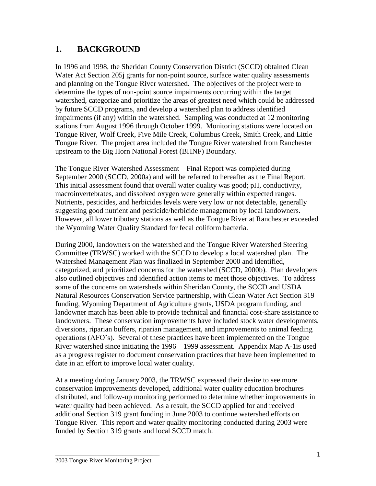# **1. BACKGROUND**

In 1996 and 1998, the Sheridan County Conservation District (SCCD) obtained Clean Water Act Section 205j grants for non-point source, surface water quality assessments and planning on the Tongue River watershed. The objectives of the project were to determine the types of non-point source impairments occurring within the target watershed, categorize and prioritize the areas of greatest need which could be addressed by future SCCD programs, and develop a watershed plan to address identified impairments (if any) within the watershed. Sampling was conducted at 12 monitoring stations from August 1996 through October 1999. Monitoring stations were located on Tongue River, Wolf Creek, Five Mile Creek, Columbus Creek, Smith Creek, and Little Tongue River. The project area included the Tongue River watershed from Ranchester upstream to the Big Horn National Forest (BHNF) Boundary.

The Tongue River Watershed Assessment – Final Report was completed during September 2000 (SCCD, 2000a) and will be referred to hereafter as the Final Report. This initial assessment found that overall water quality was good; pH, conductivity, macroinvertebrates, and dissolved oxygen were generally within expected ranges. Nutrients, pesticides, and herbicides levels were very low or not detectable, generally suggesting good nutrient and pesticide/herbicide management by local landowners. However, all lower tributary stations as well as the Tongue River at Ranchester exceeded the Wyoming Water Quality Standard for fecal coliform bacteria.

During 2000, landowners on the watershed and the Tongue River Watershed Steering Committee (TRWSC) worked with the SCCD to develop a local watershed plan. The Watershed Management Plan was finalized in September 2000 and identified, categorized, and prioritized concerns for the watershed (SCCD, 2000b). Plan developers also outlined objectives and identified action items to meet those objectives. To address some of the concerns on watersheds within Sheridan County, the SCCD and USDA Natural Resources Conservation Service partnership, with Clean Water Act Section 319 funding, Wyoming Department of Agriculture grants, USDA program funding, and landowner match has been able to provide technical and financial cost-share assistance to landowners. These conservation improvements have included stock water developments, diversions, riparian buffers, riparian management, and improvements to animal feeding operations (AFO's). Several of these practices have been implemented on the Tongue River watershed since initiating the 1996 – 1999 assessment. Appendix Map A-1is used as a progress register to document conservation practices that have been implemented to date in an effort to improve local water quality.

At a meeting during January 2003, the TRWSC expressed their desire to see more conservation improvements developed, additional water quality education brochures distributed, and follow-up monitoring performed to determine whether improvements in water quality had been achieved. As a result, the SCCD applied for and received additional Section 319 grant funding in June 2003 to continue watershed efforts on Tongue River. This report and water quality monitoring conducted during 2003 were funded by Section 319 grants and local SCCD match.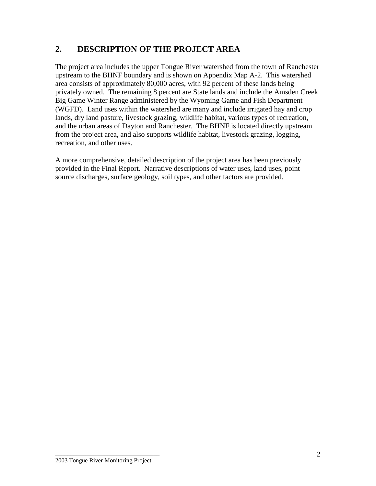## **2. DESCRIPTION OF THE PROJECT AREA**

The project area includes the upper Tongue River watershed from the town of Ranchester upstream to the BHNF boundary and is shown on Appendix Map A-2. This watershed area consists of approximately 80,000 acres, with 92 percent of these lands being privately owned. The remaining 8 percent are State lands and include the Amsden Creek Big Game Winter Range administered by the Wyoming Game and Fish Department (WGFD). Land uses within the watershed are many and include irrigated hay and crop lands, dry land pasture, livestock grazing, wildlife habitat, various types of recreation, and the urban areas of Dayton and Ranchester. The BHNF is located directly upstream from the project area, and also supports wildlife habitat, livestock grazing, logging, recreation, and other uses.

A more comprehensive, detailed description of the project area has been previously provided in the Final Report. Narrative descriptions of water uses, land uses, point source discharges, surface geology, soil types, and other factors are provided.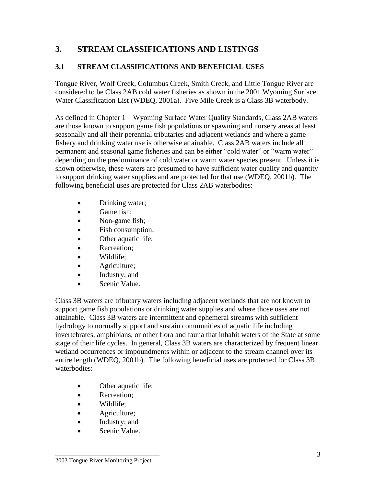# **3. STREAM CLASSIFICATIONS AND LISTINGS**

#### **3.1 STREAM CLASSIFICATIONS AND BENEFICIAL USES**

Tongue River, Wolf Creek, Columbus Creek, Smith Creek, and Little Tongue River are considered to be Class 2AB cold water fisheries as shown in the 2001 Wyoming Surface Water Classification List (WDEQ, 2001a). Five Mile Creek is a Class 3B waterbody.

As defined in Chapter 1 – Wyoming Surface Water Quality Standards, Class 2AB waters are those known to support game fish populations or spawning and nursery areas at least seasonally and all their perennial tributaries and adjacent wetlands and where a game fishery and drinking water use is otherwise attainable. Class 2AB waters include all permanent and seasonal game fisheries and can be either "cold water" or "warm water" depending on the predominance of cold water or warm water species present. Unless it is shown otherwise, these waters are presumed to have sufficient water quality and quantity to support drinking water supplies and are protected for that use (WDEQ, 2001b). The following beneficial uses are protected for Class 2AB waterbodies:

- Drinking water;
- Game fish;
- Non-game fish;
- Fish consumption;
- Other aquatic life;
- Recreation;
- Wildlife;
- Agriculture;
- Industry; and
- Scenic Value.

Class 3B waters are tributary waters including adjacent wetlands that are not known to support game fish populations or drinking water supplies and where those uses are not attainable. Class 3B waters are intermittent and ephemeral streams with sufficient hydrology to normally support and sustain communities of aquatic life including invertebrates, amphibians, or other flora and fauna that inhabit waters of the State at some stage of their life cycles. In general, Class 3B waters are characterized by frequent linear wetland occurrences or impoundments within or adjacent to the stream channel over its entire length (WDEQ, 2001b). The following beneficial uses are protected for Class 3B waterbodies:

- Other aquatic life;
- Recreation;
- Wildlife:
- **Agriculture**;
- Industry; and
- Scenic Value.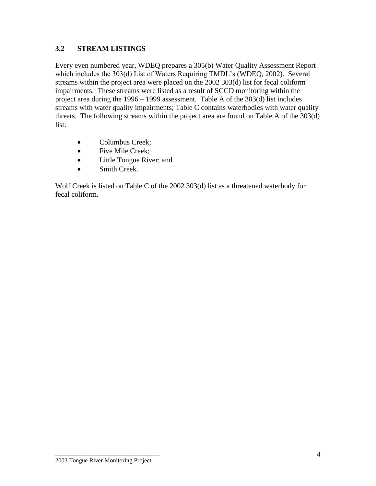#### **3.2 STREAM LISTINGS**

Every even numbered year, WDEQ prepares a 305(b) Water Quality Assessment Report which includes the 303(d) List of Waters Requiring TMDL's (WDEQ, 2002). Several streams within the project area were placed on the 2002 303(d) list for fecal coliform impairments. These streams were listed as a result of SCCD monitoring within the project area during the 1996 – 1999 assessment. Table A of the 303(d) list includes streams with water quality impairments; Table C contains waterbodies with water quality threats. The following streams within the project area are found on Table A of the 303(d) list:

- Columbus Creek;
- Five Mile Creek;
- Little Tongue River; and
- Smith Creek.

Wolf Creek is listed on Table C of the 2002 303(d) list as a threatened waterbody for fecal coliform.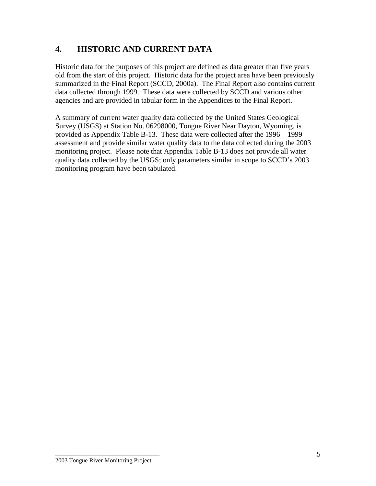## **4. HISTORIC AND CURRENT DATA**

Historic data for the purposes of this project are defined as data greater than five years old from the start of this project. Historic data for the project area have been previously summarized in the Final Report (SCCD, 2000a). The Final Report also contains current data collected through 1999. These data were collected by SCCD and various other agencies and are provided in tabular form in the Appendices to the Final Report.

A summary of current water quality data collected by the United States Geological Survey (USGS) at Station No. 06298000, Tongue River Near Dayton, Wyoming, is provided as Appendix Table B-13. These data were collected after the 1996 – 1999 assessment and provide similar water quality data to the data collected during the 2003 monitoring project. Please note that Appendix Table B-13 does not provide all water quality data collected by the USGS; only parameters similar in scope to SCCD's 2003 monitoring program have been tabulated.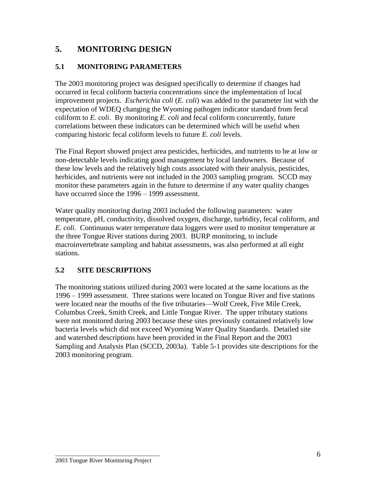# **5. MONITORING DESIGN**

#### **5.1 MONITORING PARAMETERS**

The 2003 monitoring project was designed specifically to determine if changes had occurred in fecal coliform bacteria concentrations since the implementation of local improvement projects. *Escherichia coli* (*E. coli*) was added to the parameter list with the expectation of WDEQ changing the Wyoming pathogen indicator standard from fecal coliform to *E. coli*. By monitoring *E. coli* and fecal coliform concurrently, future correlations between these indicators can be determined which will be useful when comparing historic fecal coliform levels to future *E. coli* levels.

The Final Report showed project area pesticides, herbicides, and nutrients to be at low or non-detectable levels indicating good management by local landowners. Because of these low levels and the relatively high costs associated with their analysis, pesticides, herbicides, and nutrients were not included in the 2003 sampling program. SCCD may monitor these parameters again in the future to determine if any water quality changes have occurred since the 1996 – 1999 assessment.

Water quality monitoring during 2003 included the following parameters: water temperature, pH, conductivity, dissolved oxygen, discharge, turbidity, fecal coliform, and *E. coli*. Continuous water temperature data loggers were used to monitor temperature at the three Tongue River stations during 2003. BURP monitoring, to include macroinvertebrate sampling and habitat assessments, was also performed at all eight stations.

#### **5.2 SITE DESCRIPTIONS**

The monitoring stations utilized during 2003 were located at the same locations as the 1996 – 1999 assessment. Three stations were located on Tongue River and five stations were located near the mouths of the five tributaries—Wolf Creek, Five Mile Creek, Columbus Creek, Smith Creek, and Little Tongue River. The upper tributary stations were not monitored during 2003 because these sites previously contained relatively low bacteria levels which did not exceed Wyoming Water Quality Standards. Detailed site and watershed descriptions have been provided in the Final Report and the 2003 Sampling and Analysis Plan (SCCD, 2003a). Table 5-1 provides site descriptions for the 2003 monitoring program.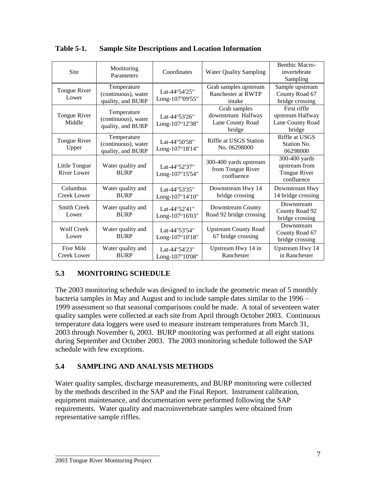| Site                                | Monitoring<br>Parameters                                | Coordinates                      | <b>Water Quality Sampling</b>                                    | <b>Benthic Macro-</b><br>invertebrate<br>Sampling              |
|-------------------------------------|---------------------------------------------------------|----------------------------------|------------------------------------------------------------------|----------------------------------------------------------------|
| Tongue River<br>Lower               | Temperature<br>(continuous), water<br>quality, and BURP | Lat-44°54'25"<br>Long-107°09'55" | Grab samples upstream<br>Ranchester at RWTP<br>intake            | Sample upstream<br>County Road 67<br>bridge crossing           |
| Tongue River<br>Middle              | Temperature<br>(continuous), water<br>quality, and BURP | Lat-44°53'26"<br>Long-107°12'38" | Grab samples<br>downstream Halfway<br>Lane County Road<br>bridge | First riffle<br>upstream Halfway<br>Lane County Road<br>bridge |
| Tongue River<br>Upper               | Temperature<br>(continuous), water<br>quality, and BURP | Lat-44°50'58"<br>Long-107°18'14" | Riffle at USGS Station<br>No. 06298000                           | Riffle at USGS<br>Station No.<br>06298000                      |
| Little Tongue<br><b>River Lower</b> | Water quality and<br><b>BURP</b>                        | Lat-44°52'37"<br>Long-107°15'54" | 300-400 yards upstream<br>from Tongue River<br>confluence        | 300-400 yards<br>upstream from<br>Tongue River<br>confluence   |
| Columbus<br>Creek Lower             | Water quality and<br><b>BURP</b>                        | Lat-44°53'35"<br>Long-107°14'10" | Downstream Hwy 14<br>bridge crossing                             | Downstream Hwy<br>14 bridge crossing                           |
| <b>Smith Creek</b><br>Lower         | Water quality and<br><b>BURP</b>                        | Lat-44°52'41"<br>Long-107°16'03" | Downstream County<br>Road 92 bridge crossing                     | Downstream<br>County Road 92<br>bridge crossing                |
| <b>Wolf Creek</b><br>Lower          | Water quality and<br><b>BURP</b>                        | Lat-44°53'54"<br>Long-107°10'18" | <b>Upstream County Road</b><br>67 bridge crossing                | Downstream<br>County Road 67<br>bridge crossing                |
| Five Mile<br>Creek Lower            | Water quality and<br><b>BURP</b>                        | Lat-44°54'23"<br>Long-107°10'08" | Upstream Hwy 14 in<br>Ranchester                                 | Upstream Hwy 14<br>in Ranchester                               |

**Table 5-1. Sample Site Descriptions and Location Information**

### **5.3 MONITORING SCHEDULE**

The 2003 monitoring schedule was designed to include the geometric mean of 5 monthly bacteria samples in May and August and to include sample dates similar to the 1996 – 1999 assessment so that seasonal comparisons could be made. A total of seventeen water quality samples were collected at each site from April through October 2003. Continuous temperature data loggers were used to measure instream temperatures from March 31, 2003 through November 6, 2003. BURP monitoring was performed at all eight stations during September and October 2003. The 2003 monitoring schedule followed the SAP schedule with few exceptions.

### **5.4 SAMPLING AND ANALYSIS METHODS**

Water quality samples, discharge measurements, and BURP monitoring were collected by the methods described in the SAP and the Final Report. Instrument calibration, equipment maintenance, and documentation were performed following the SAP requirements. Water quality and macroinvertebrate samples were obtained from representative sample riffles.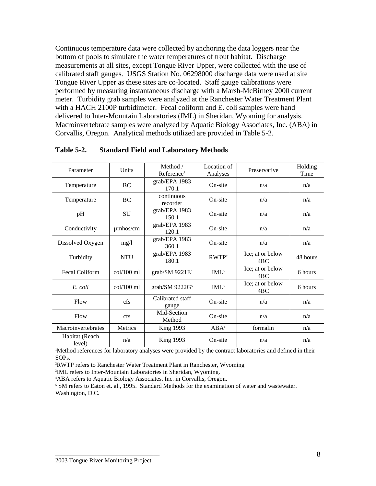Continuous temperature data were collected by anchoring the data loggers near the bottom of pools to simulate the water temperatures of trout habitat. Discharge measurements at all sites, except Tongue River Upper, were collected with the use of calibrated staff gauges. USGS Station No. 06298000 discharge data were used at site Tongue River Upper as these sites are co-located. Staff gauge calibrations were performed by measuring instantaneous discharge with a Marsh-McBirney 2000 current meter. Turbidity grab samples were analyzed at the Ranchester Water Treatment Plant with a HACH 2100P turbidimeter. Fecal coliform and E. coli samples were hand delivered to Inter-Mountain Laboratories (IML) in Sheridan, Wyoming for analysis. Macroinvertebrate samples were analyzed by Aquatic Biology Associates, Inc. (ABA) in Corvallis, Oregon. Analytical methods utilized are provided in Table 5-2.

| Parameter                | Units         | Method /<br>Reference <sup>1</sup> | Location of<br>Analyses | Preservative                        | Holding<br>Time |
|--------------------------|---------------|------------------------------------|-------------------------|-------------------------------------|-----------------|
| Temperature              | <b>BC</b>     | grab/EPA 1983<br>170.1             | On-site                 | n/a                                 | n/a             |
| Temperature              | BC            | continuous<br>recorder             | On-site                 | n/a                                 | n/a             |
| pH                       | <b>SU</b>     | grab/EPA 1983<br>150.1             | On-site                 | n/a                                 | n/a             |
| Conductivity             | $\mu$ mhos/cm | grab/EPA 1983<br>120.1             | On-site                 | n/a                                 | n/a             |
| Dissolved Oxygen         | mg/1          | grab/EPA 1983<br>360.1             | On-site                 | n/a                                 | n/a             |
| Turbidity                | <b>NTU</b>    | grab/EPA 1983<br>180.1             | RWTP <sup>2</sup>       | Ice; at or below<br>4 <sub>BC</sub> | 48 hours        |
| Fecal Coliform           | $col/100$ ml  | grab/SM $9221E^5$                  | IML <sup>3</sup>        | Ice; at or below<br>4BC             | 6 hours         |
| E. coli                  | $col/100$ ml  | grab/SM $9222G5$                   | IML <sup>3</sup>        | Ice; at or below<br>4BC             | 6 hours         |
| Flow                     | cfs           | Calibrated staff<br>gauge          | On-site                 | n/a                                 | n/a             |
| Flow                     | cfs           | Mid-Section<br>Method              | On-site                 | n/a                                 | n/a             |
| Macroinvertebrates       | Metrics       | <b>King 1993</b>                   | $ABA^4$                 | formalin                            | n/a             |
| Habitat (Reach<br>level) | n/a           | <b>King 1993</b>                   | On-site                 | n/a                                 | n/a             |

#### **Table 5-2. Standard Field and Laboratory Methods**

<sup>1</sup>Method references for laboratory analyses were provided by the contract laboratories and defined in their SOPs.

<sup>2</sup>RWTP refers to Ranchester Water Treatment Plant in Ranchester, Wyoming

3 IML refers to Inter-Mountain Laboratories in Sheridan, Wyoming.

<sup>4</sup>ABA refers to Aquatic Biology Associates, Inc. in Corvallis, Oregon.

<sup>5</sup> SM refers to Eaton et. al., 1995. Standard Methods for the examination of water and wastewater. Washington, D.C.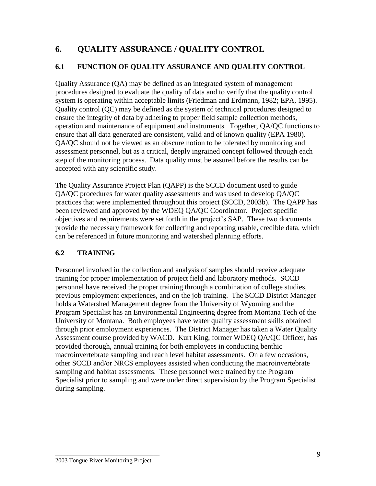# **6. QUALITY ASSURANCE / QUALITY CONTROL**

### **6.1 FUNCTION OF QUALITY ASSURANCE AND QUALITY CONTROL**

Quality Assurance (QA) may be defined as an integrated system of management procedures designed to evaluate the quality of data and to verify that the quality control system is operating within acceptable limits (Friedman and Erdmann, 1982; EPA, 1995). Quality control (QC) may be defined as the system of technical procedures designed to ensure the integrity of data by adhering to proper field sample collection methods, operation and maintenance of equipment and instruments. Together, QA/QC functions to ensure that all data generated are consistent, valid and of known quality (EPA 1980). QA/QC should not be viewed as an obscure notion to be tolerated by monitoring and assessment personnel, but as a critical, deeply ingrained concept followed through each step of the monitoring process. Data quality must be assured before the results can be accepted with any scientific study.

The Quality Assurance Project Plan (QAPP) is the SCCD document used to guide QA/QC procedures for water quality assessments and was used to develop QA/QC practices that were implemented throughout this project (SCCD, 2003b). The QAPP has been reviewed and approved by the WDEQ QA/QC Coordinator. Project specific objectives and requirements were set forth in the project's SAP. These two documents provide the necessary framework for collecting and reporting usable, credible data, which can be referenced in future monitoring and watershed planning efforts.

### **6.2 TRAINING**

Personnel involved in the collection and analysis of samples should receive adequate training for proper implementation of project field and laboratory methods. SCCD personnel have received the proper training through a combination of college studies, previous employment experiences, and on the job training. The SCCD District Manager holds a Watershed Management degree from the University of Wyoming and the Program Specialist has an Environmental Engineering degree from Montana Tech of the University of Montana. Both employees have water quality assessment skills obtained through prior employment experiences. The District Manager has taken a Water Quality Assessment course provided by WACD. Kurt King, former WDEQ QA/QC Officer, has provided thorough, annual training for both employees in conducting benthic macroinvertebrate sampling and reach level habitat assessments. On a few occasions, other SCCD and/or NRCS employees assisted when conducting the macroinvertebrate sampling and habitat assessments. These personnel were trained by the Program Specialist prior to sampling and were under direct supervision by the Program Specialist during sampling.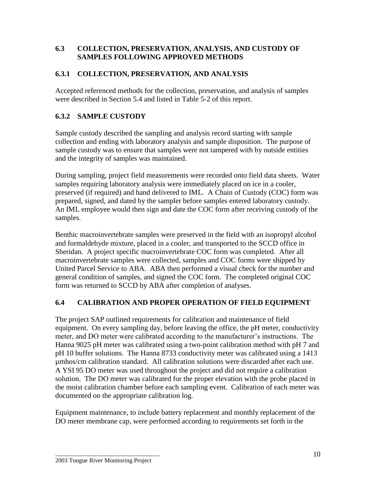#### **6.3 COLLECTION, PRESERVATION, ANALYSIS, AND CUSTODY OF SAMPLES FOLLOWING APPROVED METHODS**

#### **6.3.1 COLLECTION, PRESERVATION, AND ANALYSIS**

Accepted referenced methods for the collection, preservation, and analysis of samples were described in Section 5.4 and listed in Table 5-2 of this report.

#### **6.3.2 SAMPLE CUSTODY**

Sample custody described the sampling and analysis record starting with sample collection and ending with laboratory analysis and sample disposition. The purpose of sample custody was to ensure that samples were not tampered with by outside entities and the integrity of samples was maintained.

During sampling, project field measurements were recorded onto field data sheets. Water samples requiring laboratory analysis were immediately placed on ice in a cooler, preserved (if required) and hand delivered to IML. A Chain of Custody (COC) form was prepared, signed, and dated by the sampler before samples entered laboratory custody. An IML employee would then sign and date the COC form after receiving custody of the samples.

Benthic macroinvertebrate samples were preserved in the field with an isopropyl alcohol and formaldehyde mixture, placed in a cooler, and transported to the SCCD office in Sheridan. A project specific macroinvertebrate COC form was completed. After all macroinvertebrate samples were collected, samples and COC forms were shipped by United Parcel Service to ABA. ABA then performed a visual check for the number and general condition of samples, and signed the COC form. The completed original COC form was returned to SCCD by ABA after completion of analyses.

#### **6.4 CALIBRATION AND PROPER OPERATION OF FIELD EQUIPMENT**

The project SAP outlined requirements for calibration and maintenance of field equipment. On every sampling day, before leaving the office, the pH meter, conductivity meter, and DO meter were calibrated according to the manufacturer's instructions. The Hanna 9025 pH meter was calibrated using a two-point calibration method with pH 7 and pH 10 buffer solutions. The Hanna 8733 conductivity meter was calibrated using a 1413 µmhos/cm calibration standard. All calibration solutions were discarded after each use. A YSI 95 DO meter was used throughout the project and did not require a calibration solution. The DO meter was calibrated for the proper elevation with the probe placed in the moist calibration chamber before each sampling event. Calibration of each meter was documented on the appropriate calibration log.

Equipment maintenance, to include battery replacement and monthly replacement of the DO meter membrane cap, were performed according to requirements set forth in the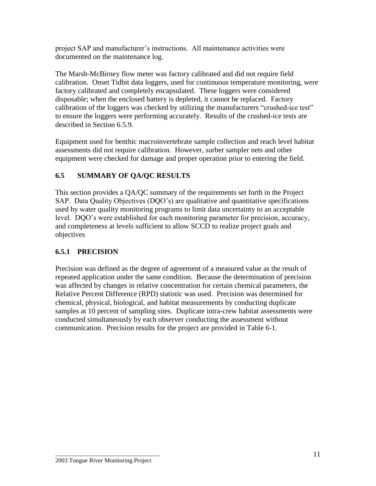project SAP and manufacturer's instructions. All maintenance activities were documented on the maintenance log.

The Marsh-McBirney flow meter was factory calibrated and did not require field calibration. Onset Tidbit data loggers, used for continuous temperature monitoring, were factory calibrated and completely encapsulated. These loggers were considered disposable; when the enclosed battery is depleted, it cannot be replaced. Factory calibration of the loggers was checked by utilizing the manufacturers "crushed-ice test" to ensure the loggers were performing accurately. Results of the crushed-ice tests are described in Section 6.5.9.

Equipment used for benthic macroinvertebrate sample collection and reach level habitat assessments did not require calibration. However, surber sampler nets and other equipment were checked for damage and proper operation prior to entering the field.

## **6.5 SUMMARY OF QA/QC RESULTS**

This section provides a QA/QC summary of the requirements set forth in the Project SAP. Data Quality Objectives (DQO's) are qualitative and quantitative specifications used by water quality monitoring programs to limit data uncertainty to an acceptable level. DQO's were established for each monitoring parameter for precision, accuracy, and completeness at levels sufficient to allow SCCD to realize project goals and objectives

### **6.5.1 PRECISION**

Precision was defined as the degree of agreement of a measured value as the result of repeated application under the same condition. Because the determination of precision was affected by changes in relative concentration for certain chemical parameters, the Relative Percent Difference (RPD) statistic was used. Precision was determined for chemical, physical, biological, and habitat measurements by conducting duplicate samples at 10 percent of sampling sites. Duplicate intra-crew habitat assessments were conducted simultaneously by each observer conducting the assessment without communication. Precision results for the project are provided in Table 6-1.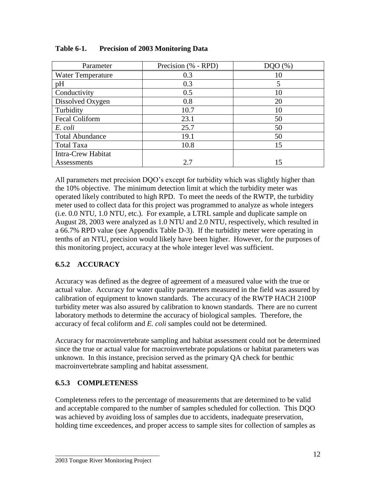| Parameter                 | Precision (% - RPD) | (% ) |
|---------------------------|---------------------|------|
| <b>Water Temperature</b>  | 0.3                 | 10   |
| pH                        | 0.3                 |      |
| Conductivity              | 0.5                 | 10   |
| Dissolved Oxygen          | 0.8                 | 20   |
| Turbidity                 | 10.7                | 10   |
| <b>Fecal Coliform</b>     | 23.1                | 50   |
| E. coli                   | 25.7                | 50   |
| <b>Total Abundance</b>    | 19.1                | 50   |
| <b>Total Taxa</b>         | 10.8                | 15   |
| <b>Intra-Crew Habitat</b> |                     |      |
| Assessments               | 2.7                 | 15   |

| <b>Table 6-1.</b> |  | <b>Precision of 2003 Monitoring Data</b> |
|-------------------|--|------------------------------------------|
|-------------------|--|------------------------------------------|

All parameters met precision DQO's except for turbidity which was slightly higher than the 10% objective. The minimum detection limit at which the turbidity meter was operated likely contributed to high RPD. To meet the needs of the RWTP, the turbidity meter used to collect data for this project was programmed to analyze as whole integers (i.e. 0.0 NTU, 1.0 NTU, etc.). For example, a LTRL sample and duplicate sample on August 28, 2003 were analyzed as 1.0 NTU and 2.0 NTU, respectively, which resulted in a 66.7% RPD value (see Appendix Table D-3). If the turbidity meter were operating in tenths of an NTU, precision would likely have been higher. However, for the purposes of this monitoring project, accuracy at the whole integer level was sufficient.

### **6.5.2 ACCURACY**

Accuracy was defined as the degree of agreement of a measured value with the true or actual value. Accuracy for water quality parameters measured in the field was assured by calibration of equipment to known standards. The accuracy of the RWTP HACH 2100P turbidity meter was also assured by calibration to known standards. There are no current laboratory methods to determine the accuracy of biological samples. Therefore, the accuracy of fecal coliform and *E. coli* samples could not be determined.

Accuracy for macroinvertebrate sampling and habitat assessment could not be determined since the true or actual value for macroinvertebrate populations or habitat parameters was unknown. In this instance, precision served as the primary QA check for benthic macroinvertebrate sampling and habitat assessment.

### **6.5.3 COMPLETENESS**

Completeness refers to the percentage of measurements that are determined to be valid and acceptable compared to the number of samples scheduled for collection. This DQO was achieved by avoiding loss of samples due to accidents, inadequate preservation, holding time exceedences, and proper access to sample sites for collection of samples as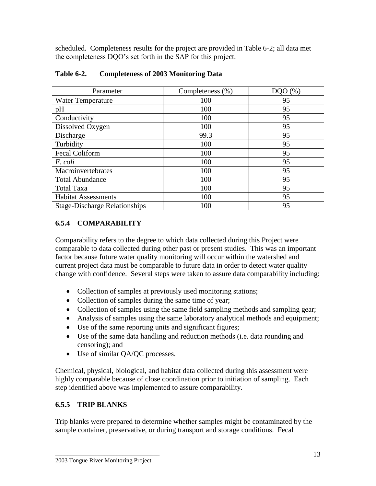scheduled. Completeness results for the project are provided in Table 6-2; all data met the completeness DQO's set forth in the SAP for this project.

| Parameter                            | Completeness (%) | DOO(%) |
|--------------------------------------|------------------|--------|
| Water Temperature                    | 100              | 95     |
| pH                                   | 100              | 95     |
| Conductivity                         | 100              | 95     |
| Dissolved Oxygen                     | 100              | 95     |
| Discharge                            | 99.3             | 95     |
| Turbidity                            | 100              | 95     |
| <b>Fecal Coliform</b>                | 100              | 95     |
| E. coli                              | 100              | 95     |
| Macroinvertebrates                   | 100              | 95     |
| <b>Total Abundance</b>               | 100              | 95     |
| <b>Total Taxa</b>                    | 100              | 95     |
| <b>Habitat Assessments</b>           | 100              | 95     |
| <b>Stage-Discharge Relationships</b> | 100              | 95     |

#### **Table 6-2. Completeness of 2003 Monitoring Data**

### **6.5.4 COMPARABILITY**

Comparability refers to the degree to which data collected during this Project were comparable to data collected during other past or present studies. This was an important factor because future water quality monitoring will occur within the watershed and current project data must be comparable to future data in order to detect water quality change with confidence. Several steps were taken to assure data comparability including:

- Collection of samples at previously used monitoring stations;
- Collection of samples during the same time of year;
- Collection of samples using the same field sampling methods and sampling gear;
- Analysis of samples using the same laboratory analytical methods and equipment;
- Use of the same reporting units and significant figures;
- Use of the same data handling and reduction methods (i.e. data rounding and censoring); and
- Use of similar QA/QC processes.

Chemical, physical, biological, and habitat data collected during this assessment were highly comparable because of close coordination prior to initiation of sampling. Each step identified above was implemented to assure comparability.

## **6.5.5 TRIP BLANKS**

Trip blanks were prepared to determine whether samples might be contaminated by the sample container, preservative, or during transport and storage conditions. Fecal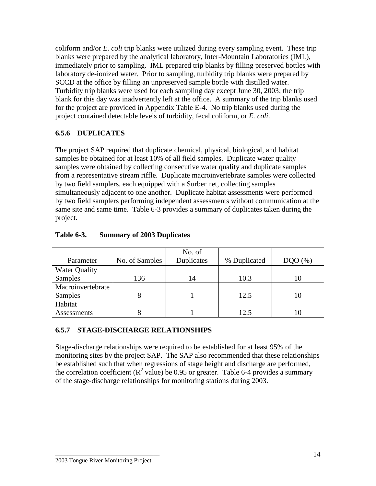coliform and/or *E. coli* trip blanks were utilized during every sampling event. These trip blanks were prepared by the analytical laboratory, Inter-Mountain Laboratories (IML), immediately prior to sampling. IML prepared trip blanks by filling preserved bottles with laboratory de-ionized water. Prior to sampling, turbidity trip blanks were prepared by SCCD at the office by filling an unpreserved sample bottle with distilled water. Turbidity trip blanks were used for each sampling day except June 30, 2003; the trip blank for this day was inadvertently left at the office. A summary of the trip blanks used for the project are provided in Appendix Table E-4. No trip blanks used during the project contained detectable levels of turbidity, fecal coliform, or *E. coli*.

#### **6.5.6 DUPLICATES**

The project SAP required that duplicate chemical, physical, biological, and habitat samples be obtained for at least 10% of all field samples. Duplicate water quality samples were obtained by collecting consecutive water quality and duplicate samples from a representative stream riffle. Duplicate macroinvertebrate samples were collected by two field samplers, each equipped with a Surber net, collecting samples simultaneously adjacent to one another. Duplicate habitat assessments were performed by two field samplers performing independent assessments without communication at the same site and same time. Table 6-3 provides a summary of duplicates taken during the project.

|                      |                | No. of     |              |      |
|----------------------|----------------|------------|--------------|------|
| Parameter            | No. of Samples | Duplicates | % Duplicated | (% ) |
| <b>Water Quality</b> |                |            |              |      |
| Samples              | 136            | 14         | 10.3         | I () |
| Macroinvertebrate    |                |            |              |      |
| Samples              |                |            | 12.5         | I () |
| Habitat              |                |            |              |      |
| Assessments          |                |            | 12.5         |      |

#### **Table 6-3. Summary of 2003 Duplicates**

#### **6.5.7 STAGE-DISCHARGE RELATIONSHIPS**

Stage-discharge relationships were required to be established for at least 95% of the monitoring sites by the project SAP. The SAP also recommended that these relationships be established such that when regressions of stage height and discharge are performed, the correlation coefficient ( $\mathbb{R}^2$  value) be 0.95 or greater. Table 6-4 provides a summary of the stage-discharge relationships for monitoring stations during 2003.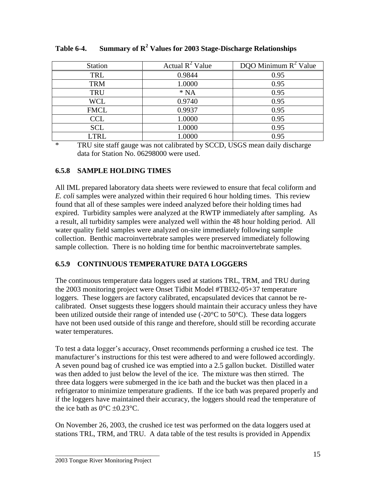| <b>Station</b> | Actual $R^2$ Value | DQO Minimum $R^2$ Value |
|----------------|--------------------|-------------------------|
| TRL            | 0.9844             | 0.95                    |
| <b>TRM</b>     | 1.0000             | 0.95                    |
| <b>TRU</b>     | $*NA$              | 0.95                    |
| <b>WCL</b>     | 0.9740             | 0.95                    |
| <b>FMCL</b>    | 0.9937             | 0.95                    |
| <b>CCL</b>     | 1.0000             | 0.95                    |
| <b>SCL</b>     | 1.0000             | 0.95                    |
| <b>LTRL</b>    | 1.0000             | 0.95                    |

**Table 6-4. Summary of R<sup>2</sup> Values for 2003 Stage-Discharge Relationships**

\* TRU site staff gauge was not calibrated by SCCD, USGS mean daily discharge data for Station No. 06298000 were used.

### **6.5.8 SAMPLE HOLDING TIMES**

All IML prepared laboratory data sheets were reviewed to ensure that fecal coliform and *E. coli* samples were analyzed within their required 6 hour holding times. This review found that all of these samples were indeed analyzed before their holding times had expired. Turbidity samples were analyzed at the RWTP immediately after sampling. As a result, all turbidity samples were analyzed well within the 48 hour holding period. All water quality field samples were analyzed on-site immediately following sample collection. Benthic macroinvertebrate samples were preserved immediately following sample collection. There is no holding time for benthic macroinvertebrate samples.

## **6.5.9 CONTINUOUS TEMPERATURE DATA LOGGERS**

The continuous temperature data loggers used at stations TRL, TRM, and TRU during the 2003 monitoring project were Onset Tidbit Model #TBI32-05+37 temperature loggers. These loggers are factory calibrated, encapsulated devices that cannot be recalibrated. Onset suggests these loggers should maintain their accuracy unless they have been utilized outside their range of intended use  $(-20^{\circ}C \text{ to } 50^{\circ}C)$ . These data loggers have not been used outside of this range and therefore, should still be recording accurate water temperatures.

To test a data logger's accuracy, Onset recommends performing a crushed ice test. The manufacturer's instructions for this test were adhered to and were followed accordingly. A seven pound bag of crushed ice was emptied into a 2.5 gallon bucket. Distilled water was then added to just below the level of the ice. The mixture was then stirred. The three data loggers were submerged in the ice bath and the bucket was then placed in a refrigerator to minimize temperature gradients. If the ice bath was prepared properly and if the loggers have maintained their accuracy, the loggers should read the temperature of the ice bath as  $0^{\circ}$ C  $\pm 0.23^{\circ}$ C.

On November 26, 2003, the crushed ice test was performed on the data loggers used at stations TRL, TRM, and TRU. A data table of the test results is provided in Appendix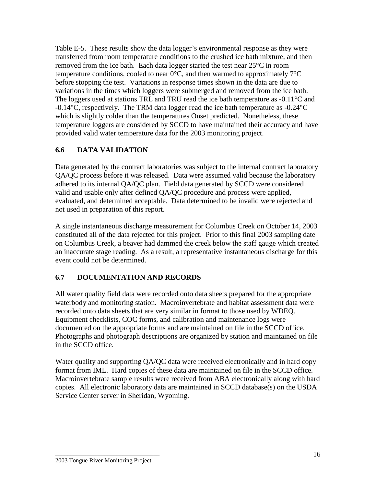Table E-5. These results show the data logger's environmental response as they were transferred from room temperature conditions to the crushed ice bath mixture, and then removed from the ice bath. Each data logger started the test near 25°C in room temperature conditions, cooled to near  $0^{\circ}$ C, and then warmed to approximately  $7^{\circ}$ C before stopping the test. Variations in response times shown in the data are due to variations in the times which loggers were submerged and removed from the ice bath. The loggers used at stations TRL and TRU read the ice bath temperature as -0.11°C and -0.14°C, respectively. The TRM data logger read the ice bath temperature as -0.24°C which is slightly colder than the temperatures Onset predicted. Nonetheless, these temperature loggers are considered by SCCD to have maintained their accuracy and have provided valid water temperature data for the 2003 monitoring project.

#### **6.6 DATA VALIDATION**

Data generated by the contract laboratories was subject to the internal contract laboratory QA/QC process before it was released. Data were assumed valid because the laboratory adhered to its internal QA/QC plan. Field data generated by SCCD were considered valid and usable only after defined QA/QC procedure and process were applied, evaluated, and determined acceptable. Data determined to be invalid were rejected and not used in preparation of this report.

A single instantaneous discharge measurement for Columbus Creek on October 14, 2003 constituted all of the data rejected for this project. Prior to this final 2003 sampling date on Columbus Creek, a beaver had dammed the creek below the staff gauge which created an inaccurate stage reading. As a result, a representative instantaneous discharge for this event could not be determined.

### **6.7 DOCUMENTATION AND RECORDS**

All water quality field data were recorded onto data sheets prepared for the appropriate waterbody and monitoring station. Macroinvertebrate and habitat assessment data were recorded onto data sheets that are very similar in format to those used by WDEQ. Equipment checklists, COC forms, and calibration and maintenance logs were documented on the appropriate forms and are maintained on file in the SCCD office. Photographs and photograph descriptions are organized by station and maintained on file in the SCCD office.

Water quality and supporting QA/QC data were received electronically and in hard copy format from IML. Hard copies of these data are maintained on file in the SCCD office. Macroinvertebrate sample results were received from ABA electronically along with hard copies. All electronic laboratory data are maintained in SCCD database(s) on the USDA Service Center server in Sheridan, Wyoming.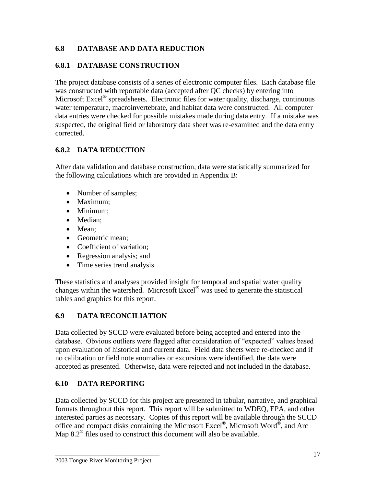### **6.8 DATABASE AND DATA REDUCTION**

#### **6.8.1 DATABASE CONSTRUCTION**

The project database consists of a series of electronic computer files. Each database file was constructed with reportable data (accepted after QC checks) by entering into Microsoft Excel<sup>®</sup> spreadsheets. Electronic files for water quality, discharge, continuous water temperature, macroinvertebrate, and habitat data were constructed. All computer data entries were checked for possible mistakes made during data entry. If a mistake was suspected, the original field or laboratory data sheet was re-examined and the data entry corrected.

### **6.8.2 DATA REDUCTION**

After data validation and database construction, data were statistically summarized for the following calculations which are provided in Appendix B:

- Number of samples;
- Maximum:
- Minimum;
- Median;
- Mean:
- Geometric mean:
- Coefficient of variation:
- Regression analysis; and
- Time series trend analysis.

These statistics and analyses provided insight for temporal and spatial water quality changes within the watershed. Microsoft Excel® was used to generate the statistical tables and graphics for this report.

### **6.9 DATA RECONCILIATION**

Data collected by SCCD were evaluated before being accepted and entered into the database. Obvious outliers were flagged after consideration of "expected" values based upon evaluation of historical and current data. Field data sheets were re-checked and if no calibration or field note anomalies or excursions were identified, the data were accepted as presented. Otherwise, data were rejected and not included in the database.

## **6.10 DATA REPORTING**

Data collected by SCCD for this project are presented in tabular, narrative, and graphical formats throughout this report. This report will be submitted to WDEQ, EPA, and other interested parties as necessary. Copies of this report will be available through the SCCD office and compact disks containing the Microsoft Excel<sup>®</sup>, Microsoft Word<sup>®</sup>, and Arc Map  $8.2^{\circ}$  files used to construct this document will also be available.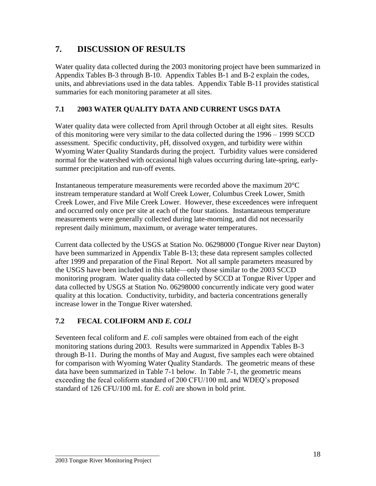# **7. DISCUSSION OF RESULTS**

Water quality data collected during the 2003 monitoring project have been summarized in Appendix Tables B-3 through B-10. Appendix Tables B-1 and B-2 explain the codes, units, and abbreviations used in the data tables. Appendix Table B-11 provides statistical summaries for each monitoring parameter at all sites.

#### **7.1 2003 WATER QUALITY DATA AND CURRENT USGS DATA**

Water quality data were collected from April through October at all eight sites. Results of this monitoring were very similar to the data collected during the 1996 – 1999 SCCD assessment. Specific conductivity, pH, dissolved oxygen, and turbidity were within Wyoming Water Quality Standards during the project. Turbidity values were considered normal for the watershed with occasional high values occurring during late-spring, earlysummer precipitation and run-off events.

Instantaneous temperature measurements were recorded above the maximum 20°C instream temperature standard at Wolf Creek Lower, Columbus Creek Lower, Smith Creek Lower, and Five Mile Creek Lower. However, these exceedences were infrequent and occurred only once per site at each of the four stations. Instantaneous temperature measurements were generally collected during late-morning, and did not necessarily represent daily minimum, maximum, or average water temperatures.

Current data collected by the USGS at Station No. 06298000 (Tongue River near Dayton) have been summarized in Appendix Table B-13; these data represent samples collected after 1999 and preparation of the Final Report. Not all sample parameters measured by the USGS have been included in this table—only those similar to the 2003 SCCD monitoring program. Water quality data collected by SCCD at Tongue River Upper and data collected by USGS at Station No. 06298000 concurrently indicate very good water quality at this location. Conductivity, turbidity, and bacteria concentrations generally increase lower in the Tongue River watershed.

### **7.2 FECAL COLIFORM AND** *E. COLI*

Seventeen fecal coliform and *E. coli* samples were obtained from each of the eight monitoring stations during 2003. Results were summarized in Appendix Tables B-3 through B-11. During the months of May and August, five samples each were obtained for comparison with Wyoming Water Quality Standards. The geometric means of these data have been summarized in Table 7-1 below. In Table 7-1, the geometric means exceeding the fecal coliform standard of 200 CFU/100 mL and WDEQ's proposed standard of 126 CFU/100 mL for *E. coli* are shown in bold print.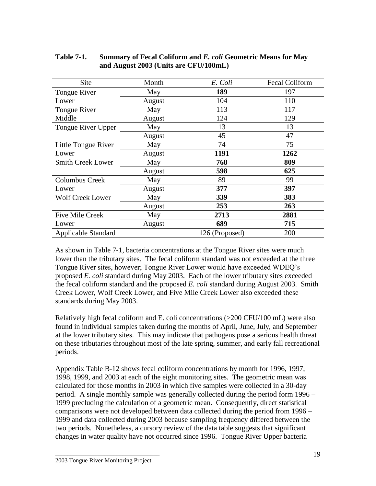| Site                       | Month  | E. Coli        | <b>Fecal Coliform</b> |
|----------------------------|--------|----------------|-----------------------|
| Tongue River               | May    | 189            | 197                   |
| Lower                      | August | 104            | 110                   |
| Tongue River               | May    | 113            | 117                   |
| Middle                     | August | 124            | 129                   |
| Tongue River Upper         | May    | 13             | 13                    |
|                            | August | 45             | 47                    |
| Little Tongue River        | May    | 74             | 75                    |
| Lower                      | August | 1191           | 1262                  |
| <b>Smith Creek Lower</b>   | May    | 768            | 809                   |
|                            | August | 598            | 625                   |
| <b>Columbus Creek</b>      | May    | 89             | 99                    |
| Lower                      | August | 377            | 397                   |
| <b>Wolf Creek Lower</b>    | May    | 339            | 383                   |
|                            | August | 253            | 263                   |
| <b>Five Mile Creek</b>     | May    | 2713           | 2881                  |
| Lower                      | August | 689            | 715                   |
| <b>Applicable Standard</b> |        | 126 (Proposed) | 200                   |

**Table 7-1. Summary of Fecal Coliform and** *E. coli* **Geometric Means for May and August 2003 (Units are CFU/100mL)**

As shown in Table 7-1, bacteria concentrations at the Tongue River sites were much lower than the tributary sites. The fecal coliform standard was not exceeded at the three Tongue River sites, however; Tongue River Lower would have exceeded WDEQ's proposed *E. coli* standard during May 2003. Each of the lower tributary sites exceeded the fecal coliform standard and the proposed *E. coli* standard during August 2003. Smith Creek Lower, Wolf Creek Lower, and Five Mile Creek Lower also exceeded these standards during May 2003.

Relatively high fecal coliform and E. coli concentrations (>200 CFU/100 mL) were also found in individual samples taken during the months of April, June, July, and September at the lower tributary sites. This may indicate that pathogens pose a serious health threat on these tributaries throughout most of the late spring, summer, and early fall recreational periods.

Appendix Table B-12 shows fecal coliform concentrations by month for 1996, 1997, 1998, 1999, and 2003 at each of the eight monitoring sites. The geometric mean was calculated for those months in 2003 in which five samples were collected in a 30-day period. A single monthly sample was generally collected during the period form 1996 – 1999 precluding the calculation of a geometric mean. Consequently, direct statistical comparisons were not developed between data collected during the period from 1996 – 1999 and data collected during 2003 because sampling frequency differed between the two periods. Nonetheless, a cursory review of the data table suggests that significant changes in water quality have not occurred since 1996. Tongue River Upper bacteria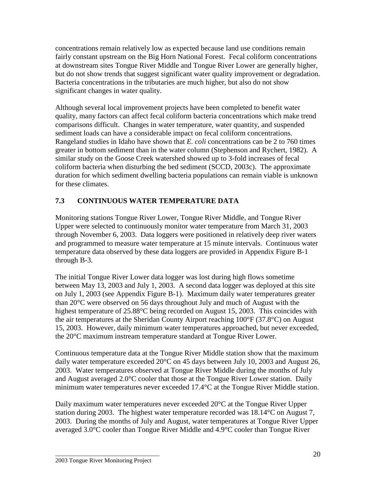concentrations remain relatively low as expected because land use conditions remain fairly constant upstream on the Big Horn National Forest. Fecal coliform concentrations at downstream sites Tongue River Middle and Tongue River Lower are generally higher, but do not show trends that suggest significant water quality improvement or degradation. Bacteria concentrations in the tributaries are much higher, but also do not show significant changes in water quality.

Although several local improvement projects have been completed to benefit water quality, many factors can affect fecal coliform bacteria concentrations which make trend comparisons difficult. Changes in water temperature, water quantity, and suspended sediment loads can have a considerable impact on fecal coliform concentrations. Rangeland studies in Idaho have shown that *E. coli* concentrations can be 2 to 760 times greater in bottom sediment than in the water column (Stephenson and Rychert, 1982). A similar study on the Goose Creek watershed showed up to 3-fold increases of fecal coliform bacteria when disturbing the bed sediment (SCCD, 2003c). The approximate duration for which sediment dwelling bacteria populations can remain viable is unknown for these climates.

## **7.3 CONTINUOUS WATER TEMPERATURE DATA**

Monitoring stations Tongue River Lower, Tongue River Middle, and Tongue River Upper were selected to continuously monitor water temperature from March 31, 2003 through November 6, 2003. Data loggers were positioned in relatively deep river waters and programmed to measure water temperature at 15 minute intervals. Continuous water temperature data observed by these data loggers are provided in Appendix Figure B-1 through B-3.

The initial Tongue River Lower data logger was lost during high flows sometime between May 13, 2003 and July 1, 2003. A second data logger was deployed at this site on July 1, 2003 (see Appendix Figure B-1). Maximum daily water temperatures greater than 20°C were observed on 56 days throughout July and much of August with the highest temperature of 25.88°C being recorded on August 15, 2003. This coincides with the air temperatures at the Sheridan County Airport reaching 100°F (37.8°C) on August 15, 2003. However, daily minimum water temperatures approached, but never exceeded, the 20°C maximum instream temperature standard at Tongue River Lower.

Continuous temperature data at the Tongue River Middle station show that the maximum daily water temperature exceeded 20°C on 45 days between July 10, 2003 and August 26, 2003. Water temperatures observed at Tongue River Middle during the months of July and August averaged 2.0°C cooler that those at the Tongue River Lower station. Daily minimum water temperatures never exceeded 17.4°C at the Tongue River Middle station.

Daily maximum water temperatures never exceeded 20°C at the Tongue River Upper station during 2003. The highest water temperature recorded was 18.14°C on August 7, 2003. During the months of July and August, water temperatures at Tongue River Upper averaged 3.0°C cooler than Tongue River Middle and 4.9°C cooler than Tongue River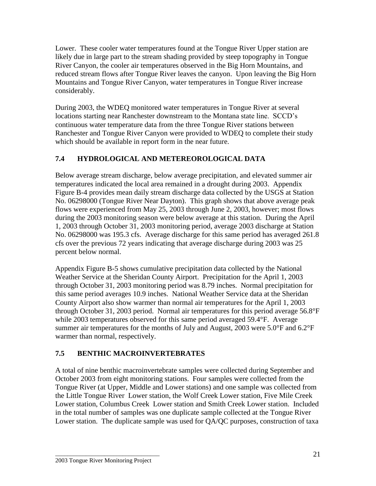Lower. These cooler water temperatures found at the Tongue River Upper station are likely due in large part to the stream shading provided by steep topography in Tongue River Canyon, the cooler air temperatures observed in the Big Horn Mountains, and reduced stream flows after Tongue River leaves the canyon. Upon leaving the Big Horn Mountains and Tongue River Canyon, water temperatures in Tongue River increase considerably.

During 2003, the WDEQ monitored water temperatures in Tongue River at several locations starting near Ranchester downstream to the Montana state line. SCCD's continuous water temperature data from the three Tongue River stations between Ranchester and Tongue River Canyon were provided to WDEQ to complete their study which should be available in report form in the near future.

## **7.4 HYDROLOGICAL AND METEREOROLOGICAL DATA**

Below average stream discharge, below average precipitation, and elevated summer air temperatures indicated the local area remained in a drought during 2003. Appendix Figure B-4 provides mean daily stream discharge data collected by the USGS at Station No. 06298000 (Tongue River Near Dayton). This graph shows that above average peak flows were experienced from May 25, 2003 through June 2, 2003, however; most flows during the 2003 monitoring season were below average at this station. During the April 1, 2003 through October 31, 2003 monitoring period, average 2003 discharge at Station No. 06298000 was 195.3 cfs. Average discharge for this same period has averaged 261.8 cfs over the previous 72 years indicating that average discharge during 2003 was 25 percent below normal.

Appendix Figure B-5 shows cumulative precipitation data collected by the National Weather Service at the Sheridan County Airport. Precipitation for the April 1, 2003 through October 31, 2003 monitoring period was 8.79 inches. Normal precipitation for this same period averages 10.9 inches. National Weather Service data at the Sheridan County Airport also show warmer than normal air temperatures for the April 1, 2003 through October 31, 2003 period. Normal air temperatures for this period average 56.8°F while 2003 temperatures observed for this same period averaged 59.4°F. Average summer air temperatures for the months of July and August, 2003 were 5.0°F and 6.2°F warmer than normal, respectively.

## **7.5 BENTHIC MACROINVERTEBRATES**

A total of nine benthic macroinvertebrate samples were collected during September and October 2003 from eight monitoring stations. Four samples were collected from the Tongue River (at Upper, Middle and Lower stations) and one sample was collected from the Little Tongue River Lower station, the Wolf Creek Lower station, Five Mile Creek Lower station, Columbus Creek Lower station and Smith Creek Lower station. Included in the total number of samples was one duplicate sample collected at the Tongue River Lower station. The duplicate sample was used for QA/QC purposes, construction of taxa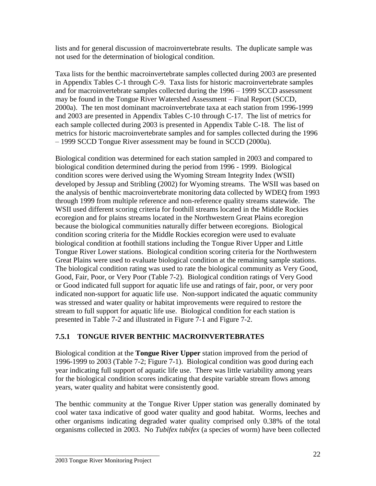lists and for general discussion of macroinvertebrate results. The duplicate sample was not used for the determination of biological condition.

Taxa lists for the benthic macroinvertebrate samples collected during 2003 are presented in Appendix Tables C-1 through C-9. Taxa lists for historic macroinvertebrate samples and for macroinvertebrate samples collected during the 1996 – 1999 SCCD assessment may be found in the Tongue River Watershed Assessment – Final Report (SCCD, 2000a). The ten most dominant macroinvertebrate taxa at each station from 1996-1999 and 2003 are presented in Appendix Tables C-10 through C-17. The list of metrics for each sample collected during 2003 is presented in Appendix Table C-18. The list of metrics for historic macroinvertebrate samples and for samples collected during the 1996 – 1999 SCCD Tongue River assessment may be found in SCCD (2000a).

Biological condition was determined for each station sampled in 2003 and compared to biological condition determined during the period from 1996 - 1999. Biological condition scores were derived using the Wyoming Stream Integrity Index (WSII) developed by Jessup and Stribling (2002) for Wyoming streams. The WSII was based on the analysis of benthic macroinvertebrate monitoring data collected by WDEQ from 1993 through 1999 from multiple reference and non-reference quality streams statewide. The WSII used different scoring criteria for foothill streams located in the Middle Rockies ecoregion and for plains streams located in the Northwestern Great Plains ecoregion because the biological communities naturally differ between ecoregions. Biological condition scoring criteria for the Middle Rockies ecoregion were used to evaluate biological condition at foothill stations including the Tongue River Upper and Little Tongue River Lower stations. Biological condition scoring criteria for the Northwestern Great Plains were used to evaluate biological condition at the remaining sample stations. The biological condition rating was used to rate the biological community as Very Good, Good, Fair, Poor, or Very Poor (Table 7-2). Biological condition ratings of Very Good or Good indicated full support for aquatic life use and ratings of fair, poor, or very poor indicated non-support for aquatic life use. Non-support indicated the aquatic community was stressed and water quality or habitat improvements were required to restore the stream to full support for aquatic life use. Biological condition for each station is presented in Table 7-2 and illustrated in Figure 7-1 and Figure 7-2.

## **7.5.1 TONGUE RIVER BENTHIC MACROINVERTEBRATES**

Biological condition at the **Tongue River Upper** station improved from the period of 1996-1999 to 2003 (Table 7-2; Figure 7-1). Biological condition was good during each year indicating full support of aquatic life use. There was little variability among years for the biological condition scores indicating that despite variable stream flows among years, water quality and habitat were consistently good.

The benthic community at the Tongue River Upper station was generally dominated by cool water taxa indicative of good water quality and good habitat. Worms, leeches and other organisms indicating degraded water quality comprised only 0.38% of the total organisms collected in 2003. No *Tubifex tubifex* (a species of worm) have been collected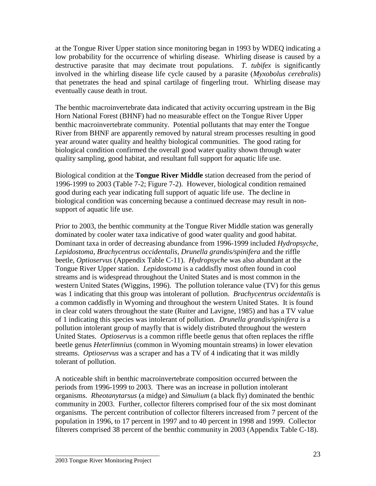at the Tongue River Upper station since monitoring began in 1993 by WDEQ indicating a low probability for the occurrence of whirling disease. Whirling disease is caused by a destructive parasite that may decimate trout populations. *T. tubifex* is significantly involved in the whirling disease life cycle caused by a parasite (*Myxobolus cerebralis*) that penetrates the head and spinal cartilage of fingerling trout. Whirling disease may eventually cause death in trout.

The benthic macroinvertebrate data indicated that activity occurring upstream in the Big Horn National Forest (BHNF) had no measurable effect on the Tongue River Upper benthic macroinvertebrate community. Potential pollutants that may enter the Tongue River from BHNF are apparently removed by natural stream processes resulting in good year around water quality and healthy biological communities. The good rating for biological condition confirmed the overall good water quality shown through water quality sampling, good habitat, and resultant full support for aquatic life use.

Biological condition at the **Tongue River Middle** station decreased from the period of 1996-1999 to 2003 (Table 7-2; Figure 7-2). However, biological condition remained good during each year indicating full support of aquatic life use. The decline in biological condition was concerning because a continued decrease may result in nonsupport of aquatic life use.

Prior to 2003, the benthic community at the Tongue River Middle station was generally dominated by cooler water taxa indicative of good water quality and good habitat. Dominant taxa in order of decreasing abundance from 1996-1999 included *Hydropsyche*, *Lepidostoma*, *Brachycentrus occidentalis*, *Drunella grandis/spinifera* and the riffle beetle, *Optioservus* (Appendix Table C-11). *Hydropsyche* was also abundant at the Tongue River Upper station. *Lepidostoma* is a caddisfly most often found in cool streams and is widespread throughout the United States and is most common in the western United States (Wiggins, 1996). The pollution tolerance value (TV) for this genus was 1 indicating that this group was intolerant of pollution. *Brachycentrus occidentalis* is a common caddisfly in Wyoming and throughout the western United States. It is found in clear cold waters throughout the state (Ruiter and Lavigne, 1985) and has a TV value of 1 indicating this species was intolerant of pollution. *Drunella grandis/spinifera* is a pollution intolerant group of mayfly that is widely distributed throughout the western United States. *Optioservus* is a common riffle beetle genus that often replaces the riffle beetle genus *Heterlimnius* (common in Wyoming mountain streams) in lower elevation streams. *Optioservus* was a scraper and has a TV of 4 indicating that it was mildly tolerant of pollution.

A noticeable shift in benthic macroinvertebrate composition occurred between the periods from 1996-1999 to 2003. There was an increase in pollution intolerant organisms. *Rheotanytarsus* (a midge) and *Simulium* (a black fly) dominated the benthic community in 2003. Further, collector filterers comprised four of the six most dominant organisms. The percent contribution of collector filterers increased from 7 percent of the population in 1996, to 17 percent in 1997 and to 40 percent in 1998 and 1999. Collector filterers comprised 38 percent of the benthic community in 2003 (Appendix Table C-18).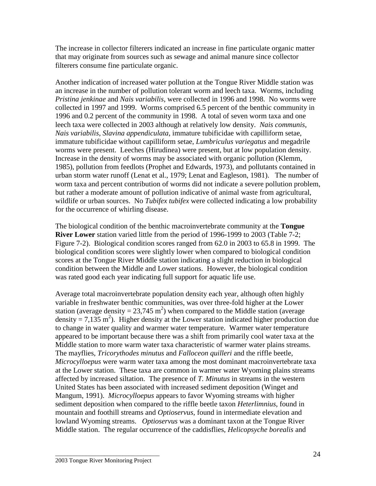The increase in collector filterers indicated an increase in fine particulate organic matter that may originate from sources such as sewage and animal manure since collector filterers consume fine particulate organic.

Another indication of increased water pollution at the Tongue River Middle station was an increase in the number of pollution tolerant worm and leech taxa. Worms, including *Pristina jenkinae* and *Nais variabilis*, were collected in 1996 and 1998. No worms were collected in 1997 and 1999. Worms comprised 6.5 percent of the benthic community in 1996 and 0.2 percent of the community in 1998. A total of seven worm taxa and one leech taxa were collected in 2003 although at relatively low density. *Nais communis*, *Nais variabilis*, *Slavina appendiculata*, immature tubificidae with capilliform setae, immature tubificidae without capilliform setae, *Lumbriculus variegatus* and megadrile worms were present. Leeches (Hirudinea) were present, but at low population density. Increase in the density of worms may be associated with organic pollution (Klemm, 1985), pollution from feedlots (Prophet and Edwards, 1973), and pollutants contained in urban storm water runoff (Lenat et al., 1979; Lenat and Eagleson, 1981). The number of worm taxa and percent contribution of worms did not indicate a severe pollution problem, but rather a moderate amount of pollution indicative of animal waste from agricultural, wildlife or urban sources. No *Tubifex tubifex* were collected indicating a low probability for the occurrence of whirling disease.

The biological condition of the benthic macroinvertebrate community at the **Tongue River Lower** station varied little from the period of 1996-1999 to 2003 (Table 7-2; Figure 7-2). Biological condition scores ranged from 62.0 in 2003 to 65.8 in 1999. The biological condition scores were slightly lower when compared to biological condition scores at the Tongue River Middle station indicating a slight reduction in biological condition between the Middle and Lower stations. However, the biological condition was rated good each year indicating full support for aquatic life use.

Average total macroinvertebrate population density each year, although often highly variable in freshwater benthic communities, was over three-fold higher at the Lower station (average density = 23,745 m<sup>2</sup>) when compared to the Middle station (average density = 7,135 m<sup>2</sup>). Higher density at the Lower station indicated higher production due to change in water quality and warmer water temperature. Warmer water temperature appeared to be important because there was a shift from primarily cool water taxa at the Middle station to more warm water taxa characteristic of warmer water plains streams. The mayflies, *Tricorythodes minutus* and *Falloceon quilleri* and the riffle beetle, *Microcylloepus* were warm water taxa among the most dominant macroinvertebrate taxa at the Lower station. These taxa are common in warmer water Wyoming plains streams affected by increased siltation. The presence of *T. Minutus* in streams in the western United States has been associated with increased sediment deposition (Winget and Mangum, 1991). *Microcylloepus* appears to favor Wyoming streams with higher sediment deposition when compared to the riffle beetle taxon *Heterlimnius*, found in mountain and foothill streams and *Optioservus*, found in intermediate elevation and lowland Wyoming streams. *Optioservus* was a dominant taxon at the Tongue River Middle station. The regular occurrence of the caddisflies, *Helicopsyche borealis* and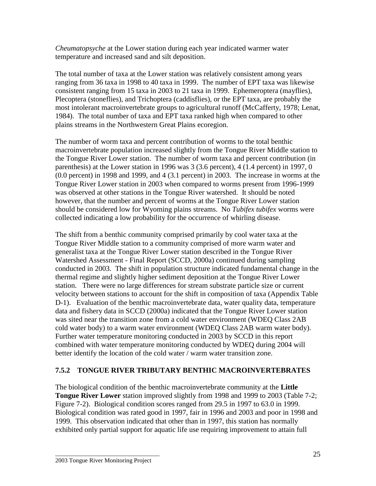*Cheumatopsyche* at the Lower station during each year indicated warmer water temperature and increased sand and silt deposition.

The total number of taxa at the Lower station was relatively consistent among years ranging from 36 taxa in 1998 to 40 taxa in 1999. The number of EPT taxa was likewise consistent ranging from 15 taxa in 2003 to 21 taxa in 1999. Ephemeroptera (mayflies), Plecoptera (stoneflies), and Trichoptera (caddisflies), or the EPT taxa, are probably the most intolerant macroinvertebrate groups to agricultural runoff (McCafferty, 1978; Lenat, 1984). The total number of taxa and EPT taxa ranked high when compared to other plains streams in the Northwestern Great Plains ecoregion.

The number of worm taxa and percent contribution of worms to the total benthic macroinvertebrate population increased slightly from the Tongue River Middle station to the Tongue River Lower station. The number of worm taxa and percent contribution (in parenthesis) at the Lower station in 1996 was 3 (3.6 percent), 4 (1.4 percent) in 1997, 0 (0.0 percent) in 1998 and 1999, and 4 (3.1 percent) in 2003. The increase in worms at the Tongue River Lower station in 2003 when compared to worms present from 1996-1999 was observed at other stations in the Tongue River watershed. It should be noted however, that the number and percent of worms at the Tongue River Lower station should be considered low for Wyoming plains streams. No *Tubifex tubifex* worms were collected indicating a low probability for the occurrence of whirling disease.

The shift from a benthic community comprised primarily by cool water taxa at the Tongue River Middle station to a community comprised of more warm water and generalist taxa at the Tongue River Lower station described in the Tongue River Watershed Assessment - Final Report (SCCD, 2000a) continued during sampling conducted in 2003. The shift in population structure indicated fundamental change in the thermal regime and slightly higher sediment deposition at the Tongue River Lower station. There were no large differences for stream substrate particle size or current velocity between stations to account for the shift in composition of taxa (Appendix Table D-1). Evaluation of the benthic macroinvertebrate data, water quality data, temperature data and fishery data in SCCD (2000a) indicated that the Tongue River Lower station was sited near the transition zone from a cold water environment (WDEQ Class 2AB cold water body) to a warm water environment (WDEQ Class 2AB warm water body). Further water temperature monitoring conducted in 2003 by SCCD in this report combined with water temperature monitoring conducted by WDEQ during 2004 will better identify the location of the cold water / warm water transition zone.

## **7.5.2 TONGUE RIVER TRIBUTARY BENTHIC MACROINVERTEBRATES**

The biological condition of the benthic macroinvertebrate community at the **Little Tongue River Lower** station improved slightly from 1998 and 1999 to 2003 (Table 7-2; Figure 7-2). Biological condition scores ranged from 29.5 in 1997 to 63.0 in 1999. Biological condition was rated good in 1997, fair in 1996 and 2003 and poor in 1998 and 1999. This observation indicated that other than in 1997, this station has normally exhibited only partial support for aquatic life use requiring improvement to attain full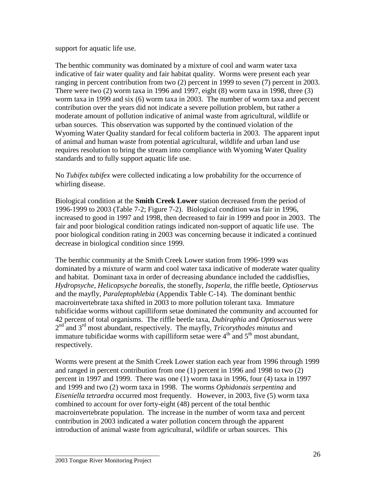support for aquatic life use.

The benthic community was dominated by a mixture of cool and warm water taxa indicative of fair water quality and fair habitat quality. Worms were present each year ranging in percent contribution from two (2) percent in 1999 to seven (7) percent in 2003. There were two (2) worm taxa in 1996 and 1997, eight (8) worm taxa in 1998, three (3) worm taxa in 1999 and six (6) worm taxa in 2003. The number of worm taxa and percent contribution over the years did not indicate a severe pollution problem, but rather a moderate amount of pollution indicative of animal waste from agricultural, wildlife or urban sources. This observation was supported by the continued violation of the Wyoming Water Quality standard for fecal coliform bacteria in 2003. The apparent input of animal and human waste from potential agricultural, wildlife and urban land use requires resolution to bring the stream into compliance with Wyoming Water Quality standards and to fully support aquatic life use.

No *Tubifex tubifex* were collected indicating a low probability for the occurrence of whirling disease.

Biological condition at the **Smith Creek Lower** station decreased from the period of 1996-1999 to 2003 (Table 7-2; Figure 7-2). Biological condition was fair in 1996, increased to good in 1997 and 1998, then decreased to fair in 1999 and poor in 2003. The fair and poor biological condition ratings indicated non-support of aquatic life use. The poor biological condition rating in 2003 was concerning because it indicated a continued decrease in biological condition since 1999.

The benthic community at the Smith Creek Lower station from 1996-1999 was dominated by a mixture of warm and cool water taxa indicative of moderate water quality and habitat. Dominant taxa in order of decreasing abundance included the caddisflies, *Hydropsyche*, *Helicopsyche borealis*, the stonefly, *Isoperla*, the riffle beetle, *Optioservus* and the mayfly, *Paraleptophlebia* (Appendix Table C-14). The dominant benthic macroinvertebrate taxa shifted in 2003 to more pollution tolerant taxa. Immature tubificidae worms without capilliform setae dominated the community and accounted for 42 percent of total organisms. The riffle beetle taxa, *Dubiraphia* and *Optioservus* were 2<sup>nd</sup> and 3<sup>rd</sup> most abundant, respectively. The mayfly, *Tricorythodes minutus* and immature tubificidae worms with capilliform setae were  $4<sup>th</sup>$  and  $5<sup>th</sup>$  most abundant, respectively.

Worms were present at the Smith Creek Lower station each year from 1996 through 1999 and ranged in percent contribution from one (1) percent in 1996 and 1998 to two (2) percent in 1997 and 1999. There was one (1) worm taxa in 1996, four (4) taxa in 1997 and 1999 and two (2) worm taxa in 1998. The worms *Ophidonais serpentina* and *Eiseniella tetraedra* occurred most frequently. However, in 2003, five (5) worm taxa combined to account for over forty-eight (48) percent of the total benthic macroinvertebrate population. The increase in the number of worm taxa and percent contribution in 2003 indicated a water pollution concern through the apparent introduction of animal waste from agricultural, wildlife or urban sources. This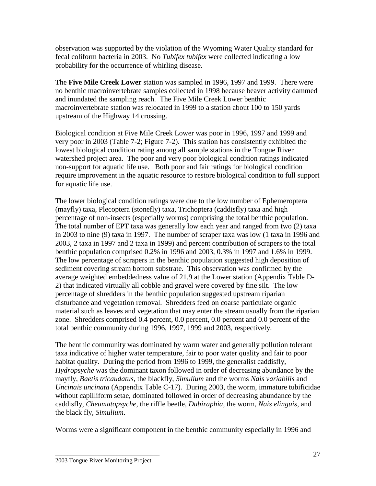observation was supported by the violation of the Wyoming Water Quality standard for fecal coliform bacteria in 2003. No *Tubifex tubifex* were collected indicating a low probability for the occurrence of whirling disease.

The **Five Mile Creek Lower** station was sampled in 1996, 1997 and 1999. There were no benthic macroinvertebrate samples collected in 1998 because beaver activity dammed and inundated the sampling reach. The Five Mile Creek Lower benthic macroinvertebrate station was relocated in 1999 to a station about 100 to 150 yards upstream of the Highway 14 crossing.

Biological condition at Five Mile Creek Lower was poor in 1996, 1997 and 1999 and very poor in 2003 (Table 7-2; Figure 7-2). This station has consistently exhibited the lowest biological condition rating among all sample stations in the Tongue River watershed project area. The poor and very poor biological condition ratings indicated non-support for aquatic life use. Both poor and fair ratings for biological condition require improvement in the aquatic resource to restore biological condition to full support for aquatic life use.

The lower biological condition ratings were due to the low number of Ephemeroptera (mayfly) taxa, Plecoptera (stonefly) taxa, Trichoptera (caddisfly) taxa and high percentage of non-insects (especially worms) comprising the total benthic population. The total number of EPT taxa was generally low each year and ranged from two (2) taxa in 2003 to nine (9) taxa in 1997. The number of scraper taxa was low (1 taxa in 1996 and 2003, 2 taxa in 1997 and 2 taxa in 1999) and percent contribution of scrapers to the total benthic population comprised 0.2% in 1996 and 2003, 0.3% in 1997 and 1.6% in 1999. The low percentage of scrapers in the benthic population suggested high deposition of sediment covering stream bottom substrate. This observation was confirmed by the average weighted embeddedness value of 21.9 at the Lower station (Appendix Table D-2) that indicated virtually all cobble and gravel were covered by fine silt. The low percentage of shredders in the benthic population suggested upstream riparian disturbance and vegetation removal. Shredders feed on coarse particulate organic material such as leaves and vegetation that may enter the stream usually from the riparian zone. Shredders comprised 0.4 percent, 0.0 percent, 0.0 percent and 0.0 percent of the total benthic community during 1996, 1997, 1999 and 2003, respectively.

The benthic community was dominated by warm water and generally pollution tolerant taxa indicative of higher water temperature, fair to poor water quality and fair to poor habitat quality. During the period from 1996 to 1999, the generalist caddisfly, *Hydropsyche* was the dominant taxon followed in order of decreasing abundance by the mayfly, *Baetis tricaudatus*, the blackfly, *Simulium* and the worms *Nais variabilis* and *Uncinais uncinata* (Appendix Table C-17). During 2003, the worm, immature tubificidae without capilliform setae, dominated followed in order of decreasing abundance by the caddisfly, *Cheumatopsyche*, the riffle beetle, *Dubiraphia*, the worm, *Nais elinguis*, and the black fly, *Simulium*.

Worms were a significant component in the benthic community especially in 1996 and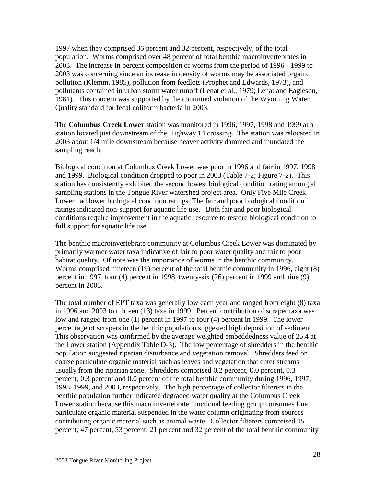1997 when they comprised 36 percent and 32 percent, respectively, of the total population. Worms comprised over 48 percent of total benthic macroinvertebrates in 2003. The increase in percent composition of worms from the period of 1996 - 1999 to 2003 was concerning since an increase in density of worms may be associated organic pollution (Klemm, 1985), pollution from feedlots (Prophet and Edwards, 1973), and pollutants contained in urban storm water runoff (Lenat et al., 1979; Lenat and Eagleson, 1981). This concern was supported by the continued violation of the Wyoming Water Quality standard for fecal coliform bacteria in 2003.

The **Columbus Creek Lower** station was monitored in 1996, 1997, 1998 and 1999 at a station located just downstream of the Highway 14 crossing. The station was relocated in 2003 about 1/4 mile downstream because beaver activity dammed and inundated the sampling reach.

Biological condition at Columbus Creek Lower was poor in 1996 and fair in 1997, 1998 and 1999. Biological condition dropped to poor in 2003 (Table 7-2; Figure 7-2). This station has consistently exhibited the second lowest biological condition rating among all sampling stations in the Tongue River watershed project area. Only Five Mile Creek Lower had lower biological condition ratings. The fair and poor biological condition ratings indicated non-support for aquatic life use. Both fair and poor biological conditions require improvement in the aquatic resource to restore biological condition to full support for aquatic life use.

The benthic macroinvertebrate community at Columbus Creek Lower was dominated by primarily warmer water taxa indicative of fair to poor water quality and fair to poor habitat quality. Of note was the importance of worms in the benthic community. Worms comprised nineteen (19) percent of the total benthic community in 1996, eight (8) percent in 1997, four (4) percent in 1998, twenty-six (26) percent in 1999 and nine (9) percent in 2003.

The total number of EPT taxa was generally low each year and ranged from eight (8) taxa in 1996 and 2003 to thirteen (13) taxa in 1999. Percent contribution of scraper taxa was low and ranged from one (1) percent in 1997 to four (4) percent in 1999. The lower percentage of scrapers in the benthic population suggested high deposition of sediment. This observation was confirmed by the average weighted embeddedness value of 25.4 at the Lower station (Appendix Table D-3). The low percentage of shredders in the benthic population suggested riparian disturbance and vegetation removal. Shredders feed on coarse particulate organic material such as leaves and vegetation that enter streams usually from the riparian zone. Shredders comprised 0.2 percent, 0.0 percent, 0.3 percent, 0.3 percent and 0.0 percent of the total benthic community during 1996, 1997, 1998, 1999, and 2003, respectively. The high percentage of collector filterers in the benthic population further indicated degraded water quality at the Columbus Creek Lower station because this macroinvertebrate functional feeding group consumes fine particulate organic material suspended in the water column originating from sources contributing organic material such as animal waste. Collector filterers comprised 15 percent, 47 percent, 53 percent, 21 percent and 32 percent of the total benthic community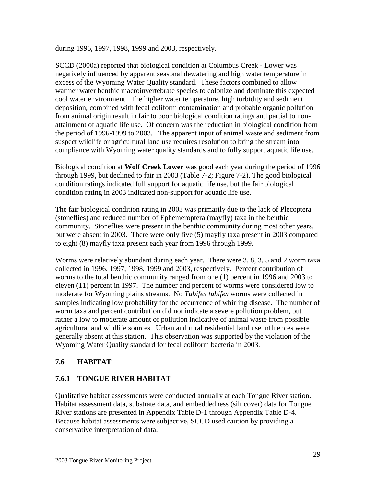during 1996, 1997, 1998, 1999 and 2003, respectively.

SCCD (2000a) reported that biological condition at Columbus Creek - Lower was negatively influenced by apparent seasonal dewatering and high water temperature in excess of the Wyoming Water Quality standard. These factors combined to allow warmer water benthic macroinvertebrate species to colonize and dominate this expected cool water environment. The higher water temperature, high turbidity and sediment deposition, combined with fecal coliform contamination and probable organic pollution from animal origin result in fair to poor biological condition ratings and partial to nonattainment of aquatic life use. Of concern was the reduction in biological condition from the period of 1996-1999 to 2003. The apparent input of animal waste and sediment from suspect wildlife or agricultural land use requires resolution to bring the stream into compliance with Wyoming water quality standards and to fully support aquatic life use.

Biological condition at **Wolf Creek Lower** was good each year during the period of 1996 through 1999, but declined to fair in 2003 (Table 7-2; Figure 7-2). The good biological condition ratings indicated full support for aquatic life use, but the fair biological condition rating in 2003 indicated non-support for aquatic life use.

The fair biological condition rating in 2003 was primarily due to the lack of Plecoptera (stoneflies) and reduced number of Ephemeroptera (mayfly) taxa in the benthic community. Stoneflies were present in the benthic community during most other years, but were absent in 2003. There were only five (5) mayfly taxa present in 2003 compared to eight (8) mayfly taxa present each year from 1996 through 1999.

Worms were relatively abundant during each year. There were 3, 8, 3, 5 and 2 worm taxa collected in 1996, 1997, 1998, 1999 and 2003, respectively. Percent contribution of worms to the total benthic community ranged from one (1) percent in 1996 and 2003 to eleven (11) percent in 1997. The number and percent of worms were considered low to moderate for Wyoming plains streams. No *Tubifex tubifex* worms were collected in samples indicating low probability for the occurrence of whirling disease. The number of worm taxa and percent contribution did not indicate a severe pollution problem, but rather a low to moderate amount of pollution indicative of animal waste from possible agricultural and wildlife sources. Urban and rural residential land use influences were generally absent at this station. This observation was supported by the violation of the Wyoming Water Quality standard for fecal coliform bacteria in 2003.

#### **7.6 HABITAT**

#### **7.6.1 TONGUE RIVER HABITAT**

Qualitative habitat assessments were conducted annually at each Tongue River station. Habitat assessment data, substrate data, and embeddedness (silt cover) data for Tongue River stations are presented in Appendix Table D-1 through Appendix Table D-4. Because habitat assessments were subjective, SCCD used caution by providing a conservative interpretation of data.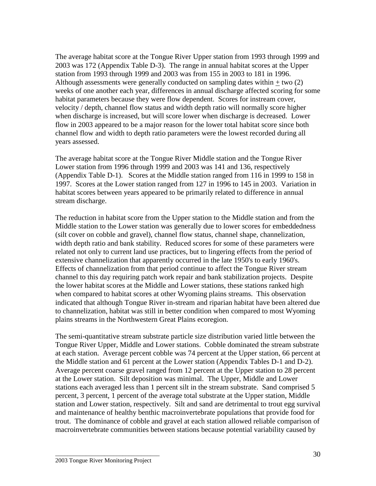The average habitat score at the Tongue River Upper station from 1993 through 1999 and 2003 was 172 (Appendix Table D-3). The range in annual habitat scores at the Upper station from 1993 through 1999 and 2003 was from 155 in 2003 to 181 in 1996. Although assessments were generally conducted on sampling dates within  $+$  two (2) weeks of one another each year, differences in annual discharge affected scoring for some habitat parameters because they were flow dependent. Scores for instream cover, velocity / depth, channel flow status and width depth ratio will normally score higher when discharge is increased, but will score lower when discharge is decreased. Lower flow in 2003 appeared to be a major reason for the lower total habitat score since both channel flow and width to depth ratio parameters were the lowest recorded during all years assessed.

The average habitat score at the Tongue River Middle station and the Tongue River Lower station from 1996 through 1999 and 2003 was 141 and 136, respectively (Appendix Table D-1). Scores at the Middle station ranged from 116 in 1999 to 158 in 1997. Scores at the Lower station ranged from 127 in 1996 to 145 in 2003. Variation in habitat scores between years appeared to be primarily related to difference in annual stream discharge.

The reduction in habitat score from the Upper station to the Middle station and from the Middle station to the Lower station was generally due to lower scores for embeddedness (silt cover on cobble and gravel), channel flow status, channel shape, channelization, width depth ratio and bank stability. Reduced scores for some of these parameters were related not only to current land use practices, but to lingering effects from the period of extensive channelization that apparently occurred in the late 1950's to early 1960's. Effects of channelization from that period continue to affect the Tongue River stream channel to this day requiring patch work repair and bank stabilization projects. Despite the lower habitat scores at the Middle and Lower stations, these stations ranked high when compared to habitat scores at other Wyoming plains streams. This observation indicated that although Tongue River in-stream and riparian habitat have been altered due to channelization, habitat was still in better condition when compared to most Wyoming plains streams in the Northwestern Great Plains ecoregion.

The semi-quantitative stream substrate particle size distribution varied little between the Tongue River Upper, Middle and Lower stations. Cobble dominated the stream substrate at each station. Average percent cobble was 74 percent at the Upper station, 66 percent at the Middle station and 61 percent at the Lower station (Appendix Tables D-1 and D-2). Average percent coarse gravel ranged from 12 percent at the Upper station to 28 percent at the Lower station. Silt deposition was minimal. The Upper, Middle and Lower stations each averaged less than 1 percent silt in the stream substrate. Sand comprised 5 percent, 3 percent, 1 percent of the average total substrate at the Upper station, Middle station and Lower station, respectively. Silt and sand are detrimental to trout egg survival and maintenance of healthy benthic macroinvertebrate populations that provide food for trout. The dominance of cobble and gravel at each station allowed reliable comparison of macroinvertebrate communities between stations because potential variability caused by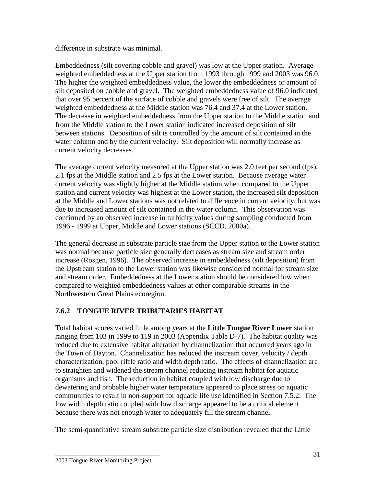difference in substrate was minimal.

Embeddedness (silt covering cobble and gravel) was low at the Upper station. Average weighted embeddedness at the Upper station from 1993 through 1999 and 2003 was 96.0. The higher the weighted embeddedness value, the lower the embeddedness or amount of silt deposited on cobble and gravel. The weighted embeddedness value of 96.0 indicated that over 95 percent of the surface of cobble and gravels were free of silt. The average weighted embeddedness at the Middle station was 76.4 and 37.4 at the Lower station. The decrease in weighted embeddedness from the Upper station to the Middle station and from the Middle station to the Lower station indicated increased deposition of silt between stations. Deposition of silt is controlled by the amount of silt contained in the water column and by the current velocity. Silt deposition will normally increase as current velocity decreases.

The average current velocity measured at the Upper station was 2.0 feet per second (fps), 2.1 fps at the Middle station and 2.5 fps at the Lower station. Because average water current velocity was slightly higher at the Middle station when compared to the Upper station and current velocity was highest at the Lower station, the increased silt deposition at the Middle and Lower stations was not related to difference in current velocity, but was due to increased amount of silt contained in the water column. This observation was confirmed by an observed increase in turbidity values during sampling conducted from 1996 - 1999 at Upper, Middle and Lower stations (SCCD, 2000a).

The general decrease in substrate particle size from the Upper station to the Lower station was normal because particle size generally decreases as stream size and stream order increase (Rosgen, 1996). The observed increase in embeddedness (silt deposition) from the Upstream station to the Lower station was likewise considered normal for stream size and stream order. Embeddedness at the Lower station should be considered low when compared to weighted embeddedness values at other comparable streams in the Northwestern Great Plains ecoregion.

## **7.6.2 TONGUE RIVER TRIBUTARIES HABITAT**

Total habitat scores varied little among years at the **Little Tongue River Lower** station ranging from 103 in 1999 to 119 in 2003 (Appendix Table D-7). The habitat quality was reduced due to extensive habitat alteration by channelization that occurred years ago in the Town of Dayton. Channelization has reduced the instream cover, velocity / depth characterization, pool riffle ratio and width depth ratio. The effects of channelization are to straighten and widened the stream channel reducing instream habitat for aquatic organisms and fish. The reduction in habitat coupled with low discharge due to dewatering and probable higher water temperature appeared to place stress on aquatic communities to result in non-support for aquatic life use identified in Section 7.5.2. The low width depth ratio coupled with low discharge appeared to be a critical element because there was not enough water to adequately fill the stream channel.

The semi-quantitative stream substrate particle size distribution revealed that the Little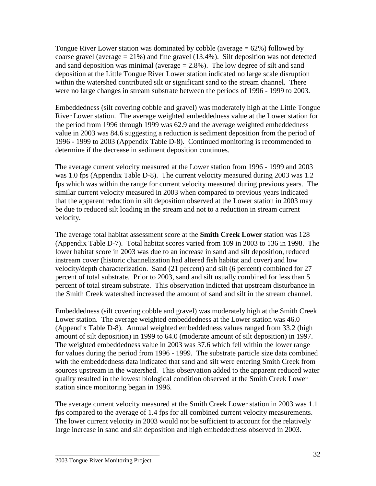Tongue River Lower station was dominated by cobble (average  $= 62\%$ ) followed by coarse gravel (average  $= 21\%$ ) and fine gravel (13.4%). Silt deposition was not detected and sand deposition was minimal (average  $= 2.8\%$ ). The low degree of silt and sand deposition at the Little Tongue River Lower station indicated no large scale disruption within the watershed contributed silt or significant sand to the stream channel. There were no large changes in stream substrate between the periods of 1996 - 1999 to 2003.

Embeddedness (silt covering cobble and gravel) was moderately high at the Little Tongue River Lower station. The average weighted embeddedness value at the Lower station for the period from 1996 through 1999 was 62.9 and the average weighted embeddedness value in 2003 was 84.6 suggesting a reduction is sediment deposition from the period of 1996 - 1999 to 2003 (Appendix Table D-8). Continued monitoring is recommended to determine if the decrease in sediment deposition continues.

The average current velocity measured at the Lower station from 1996 - 1999 and 2003 was 1.0 fps (Appendix Table D-8). The current velocity measured during 2003 was 1.2 fps which was within the range for current velocity measured during previous years. The similar current velocity measured in 2003 when compared to previous years indicated that the apparent reduction in silt deposition observed at the Lower station in 2003 may be due to reduced silt loading in the stream and not to a reduction in stream current velocity.

The average total habitat assessment score at the **Smith Creek Lower** station was 128 (Appendix Table D-7). Total habitat scores varied from 109 in 2003 to 136 in 1998. The lower habitat score in 2003 was due to an increase in sand and silt deposition, reduced instream cover (historic channelization had altered fish habitat and cover) and low velocity/depth characterization. Sand (21 percent) and silt (6 percent) combined for 27 percent of total substrate. Prior to 2003, sand and silt usually combined for less than 5 percent of total stream substrate. This observation indicted that upstream disturbance in the Smith Creek watershed increased the amount of sand and silt in the stream channel.

Embeddedness (silt covering cobble and gravel) was moderately high at the Smith Creek Lower station. The average weighted embeddedness at the Lower station was 46.0 (Appendix Table D-8). Annual weighted embeddedness values ranged from 33.2 (high amount of silt deposition) in 1999 to 64.0 (moderate amount of silt deposition) in 1997. The weighted embeddedness value in 2003 was 37.6 which fell within the lower range for values during the period from 1996 - 1999. The substrate particle size data combined with the embeddedness data indicated that sand and silt were entering Smith Creek from sources upstream in the watershed. This observation added to the apparent reduced water quality resulted in the lowest biological condition observed at the Smith Creek Lower station since monitoring began in 1996.

The average current velocity measured at the Smith Creek Lower station in 2003 was 1.1 fps compared to the average of 1.4 fps for all combined current velocity measurements. The lower current velocity in 2003 would not be sufficient to account for the relatively large increase in sand and silt deposition and high embeddedness observed in 2003.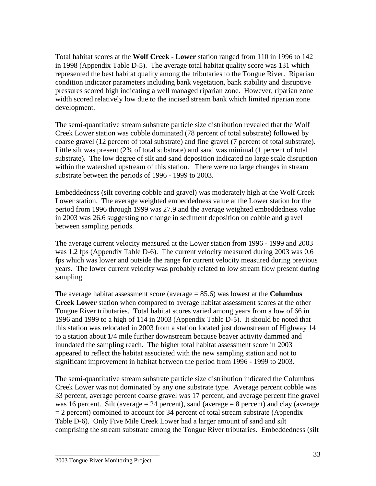Total habitat scores at the **Wolf Creek - Lower** station ranged from 110 in 1996 to 142 in 1998 (Appendix Table D-5). The average total habitat quality score was 131 which represented the best habitat quality among the tributaries to the Tongue River. Riparian condition indicator parameters including bank vegetation, bank stability and disruptive pressures scored high indicating a well managed riparian zone. However, riparian zone width scored relatively low due to the incised stream bank which limited riparian zone development.

The semi-quantitative stream substrate particle size distribution revealed that the Wolf Creek Lower station was cobble dominated (78 percent of total substrate) followed by coarse gravel (12 percent of total substrate) and fine gravel (7 percent of total substrate). Little silt was present (2% of total substrate) and sand was minimal (1 percent of total substrate). The low degree of silt and sand deposition indicated no large scale disruption within the watershed upstream of this station. There were no large changes in stream substrate between the periods of 1996 - 1999 to 2003.

Embeddedness (silt covering cobble and gravel) was moderately high at the Wolf Creek Lower station. The average weighted embeddedness value at the Lower station for the period from 1996 through 1999 was 27.9 and the average weighted embeddedness value in 2003 was 26.6 suggesting no change in sediment deposition on cobble and gravel between sampling periods.

The average current velocity measured at the Lower station from 1996 - 1999 and 2003 was 1.2 fps (Appendix Table D-6). The current velocity measured during 2003 was 0.6 fps which was lower and outside the range for current velocity measured during previous years. The lower current velocity was probably related to low stream flow present during sampling.

The average habitat assessment score (average = 85.6) was lowest at the **Columbus Creek Lower** station when compared to average habitat assessment scores at the other Tongue River tributaries. Total habitat scores varied among years from a low of 66 in 1996 and 1999 to a high of 114 in 2003 (Appendix Table D-5). It should be noted that this station was relocated in 2003 from a station located just downstream of Highway 14 to a station about 1/4 mile further downstream because beaver activity dammed and inundated the sampling reach. The higher total habitat assessment score in 2003 appeared to reflect the habitat associated with the new sampling station and not to significant improvement in habitat between the period from 1996 - 1999 to 2003.

The semi-quantitative stream substrate particle size distribution indicated the Columbus Creek Lower was not dominated by any one substrate type. Average percent cobble was 33 percent, average percent coarse gravel was 17 percent, and average percent fine gravel was 16 percent. Silt (average  $= 24$  percent), sand (average  $= 8$  percent) and clay (average  $= 2$  percent) combined to account for 34 percent of total stream substrate (Appendix Table D-6). Only Five Mile Creek Lower had a larger amount of sand and silt comprising the stream substrate among the Tongue River tributaries. Embeddedness (silt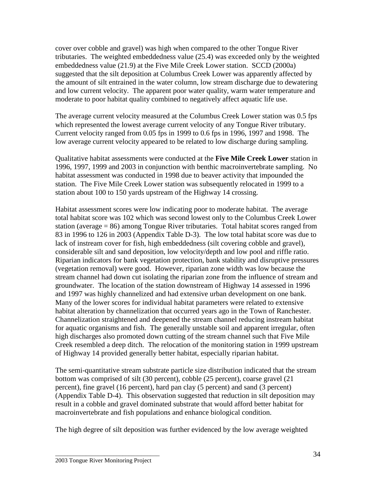cover over cobble and gravel) was high when compared to the other Tongue River tributaries. The weighted embeddedness value (25.4) was exceeded only by the weighted embeddedness value (21.9) at the Five Mile Creek Lower station. SCCD (2000a) suggested that the silt deposition at Columbus Creek Lower was apparently affected by the amount of silt entrained in the water column, low stream discharge due to dewatering and low current velocity. The apparent poor water quality, warm water temperature and moderate to poor habitat quality combined to negatively affect aquatic life use.

The average current velocity measured at the Columbus Creek Lower station was 0.5 fps which represented the lowest average current velocity of any Tongue River tributary. Current velocity ranged from 0.05 fps in 1999 to 0.6 fps in 1996, 1997 and 1998. The low average current velocity appeared to be related to low discharge during sampling.

Qualitative habitat assessments were conducted at the **Five Mile Creek Lower** station in 1996, 1997, 1999 and 2003 in conjunction with benthic macroinvertebrate sampling. No habitat assessment was conducted in 1998 due to beaver activity that impounded the station. The Five Mile Creek Lower station was subsequently relocated in 1999 to a station about 100 to 150 yards upstream of the Highway 14 crossing.

Habitat assessment scores were low indicating poor to moderate habitat. The average total habitat score was 102 which was second lowest only to the Columbus Creek Lower station (average = 86) among Tongue River tributaries. Total habitat scores ranged from 83 in 1996 to 126 in 2003 (Appendix Table D-3). The low total habitat score was due to lack of instream cover for fish, high embeddedness (silt covering cobble and gravel), considerable silt and sand deposition, low velocity/depth and low pool and riffle ratio. Riparian indicators for bank vegetation protection, bank stability and disruptive pressures (vegetation removal) were good. However, riparian zone width was low because the stream channel had down cut isolating the riparian zone from the influence of stream and groundwater. The location of the station downstream of Highway 14 assessed in 1996 and 1997 was highly channelized and had extensive urban development on one bank. Many of the lower scores for individual habitat parameters were related to extensive habitat alteration by channelization that occurred years ago in the Town of Ranchester. Channelization straightened and deepened the stream channel reducing instream habitat for aquatic organisms and fish. The generally unstable soil and apparent irregular, often high discharges also promoted down cutting of the stream channel such that Five Mile Creek resembled a deep ditch. The relocation of the monitoring station in 1999 upstream of Highway 14 provided generally better habitat, especially riparian habitat.

The semi-quantitative stream substrate particle size distribution indicated that the stream bottom was comprised of silt (30 percent), cobble (25 percent), coarse gravel (21 percent), fine gravel (16 percent), hard pan clay (5 percent) and sand (3 percent) (Appendix Table D-4). This observation suggested that reduction in silt deposition may result in a cobble and gravel dominated substrate that would afford better habitat for macroinvertebrate and fish populations and enhance biological condition.

The high degree of silt deposition was further evidenced by the low average weighted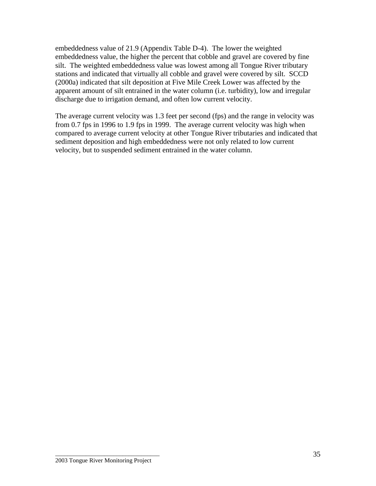embeddedness value of 21.9 (Appendix Table D-4). The lower the weighted embeddedness value, the higher the percent that cobble and gravel are covered by fine silt. The weighted embeddedness value was lowest among all Tongue River tributary stations and indicated that virtually all cobble and gravel were covered by silt. SCCD (2000a) indicated that silt deposition at Five Mile Creek Lower was affected by the apparent amount of silt entrained in the water column (i.e. turbidity), low and irregular discharge due to irrigation demand, and often low current velocity.

The average current velocity was 1.3 feet per second (fps) and the range in velocity was from 0.7 fps in 1996 to 1.9 fps in 1999. The average current velocity was high when compared to average current velocity at other Tongue River tributaries and indicated that sediment deposition and high embeddedness were not only related to low current velocity, but to suspended sediment entrained in the water column.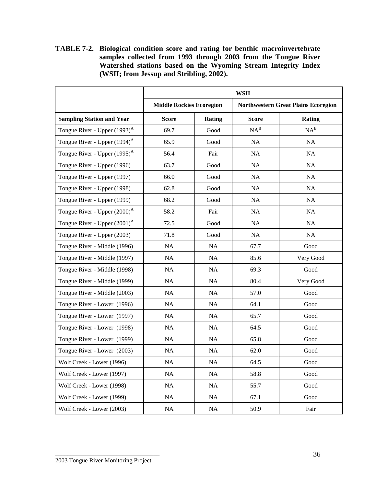**TABLE 7-2. Biological condition score and rating for benthic macroinvertebrate samples collected from 1993 through 2003 from the Tongue River Watershed stations based on the Wyoming Stream Integrity Index (WSII; from Jessup and Stribling, 2002).**

|                                          | <b>WSII</b>                     |               |                                            |           |
|------------------------------------------|---------------------------------|---------------|--------------------------------------------|-----------|
|                                          | <b>Middle Rockies Ecoregion</b> |               | <b>Northwestern Great Plains Ecoregion</b> |           |
| <b>Sampling Station and Year</b>         | <b>Score</b>                    | <b>Rating</b> | <b>Score</b>                               | Rating    |
| Tongue River - Upper $(1993)^A$          | 69.7                            | Good          | $NA^B$                                     | $NA^B$    |
| Tongue River - Upper (1994) <sup>A</sup> | 65.9                            | Good          | NA                                         | NA        |
| Tongue River - Upper (1995) <sup>A</sup> | 56.4                            | Fair          | NA                                         | NA        |
| Tongue River - Upper (1996)              | 63.7                            | Good          | NA                                         | NA        |
| Tongue River - Upper (1997)              | 66.0                            | Good          | NA                                         | NA        |
| Tongue River - Upper (1998)              | 62.8                            | Good          | $\rm NA$                                   | NA        |
| Tongue River - Upper (1999)              | 68.2                            | Good          | NA                                         | NA        |
| Tongue River - Upper (2000) <sup>A</sup> | 58.2                            | Fair          | NA                                         | NA        |
| Tongue River - Upper $(2001)^A$          | 72.5                            | Good          | NA                                         | NA        |
| Tongue River - Upper (2003)              | 71.8                            | Good          | NA                                         | NA        |
| Tongue River - Middle (1996)             | NA                              | NA            | 67.7                                       | Good      |
| Tongue River - Middle (1997)             | NA                              | NA            | 85.6                                       | Very Good |
| Tongue River - Middle (1998)             | NA                              | NA            | 69.3                                       | Good      |
| Tongue River - Middle (1999)             | NA                              | NA            | 80.4                                       | Very Good |
| Tongue River - Middle (2003)             | NA                              | NA            | 57.0                                       | Good      |
| Tongue River - Lower (1996)              | NA                              | NA            | 64.1                                       | Good      |
| Tongue River - Lower (1997)              | NA                              | NA            | 65.7                                       | Good      |
| Tongue River - Lower (1998)              | NA                              | NA            | 64.5                                       | Good      |
| Tongue River - Lower (1999)              | NA                              | $\rm NA$      | 65.8                                       | Good      |
| Tongue River - Lower (2003)              | NA                              | NA            | 62.0                                       | Good      |
| Wolf Creek - Lower (1996)                | $\rm NA$                        | $\rm NA$      | 64.5                                       | Good      |
| Wolf Creek - Lower (1997)                | NA                              | NA            | 58.8                                       | Good      |
| Wolf Creek - Lower (1998)                | NA                              | NA            | 55.7                                       | Good      |
| Wolf Creek - Lower (1999)                | $\rm NA$                        | $\rm NA$      | 67.1                                       | Good      |
| Wolf Creek - Lower (2003)                | $\rm NA$                        | NA            | 50.9                                       | Fair      |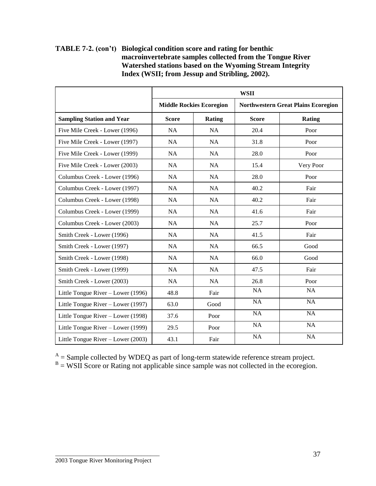| <b>TABLE 7-2.</b> (con't) Biological condition score and rating for benthic |
|-----------------------------------------------------------------------------|
| macroinvertebrate samples collected from the Tongue River                   |
| Watershed stations based on the Wyoming Stream Integrity                    |
| Index (WSII; from Jessup and Stribling, 2002).                              |

|                                    | <b>WSII</b>                     |           |                                            |               |
|------------------------------------|---------------------------------|-----------|--------------------------------------------|---------------|
|                                    | <b>Middle Rockies Ecoregion</b> |           | <b>Northwestern Great Plains Ecoregion</b> |               |
| <b>Sampling Station and Year</b>   | <b>Score</b>                    | Rating    | <b>Score</b>                               | <b>Rating</b> |
| Five Mile Creek - Lower (1996)     | <b>NA</b>                       | <b>NA</b> | 20.4                                       | Poor          |
| Five Mile Creek - Lower (1997)     | <b>NA</b>                       | <b>NA</b> | 31.8                                       | Poor          |
| Five Mile Creek - Lower (1999)     | NA                              | NA        | 28.0                                       | Poor          |
| Five Mile Creek - Lower (2003)     | <b>NA</b>                       | <b>NA</b> | 15.4                                       | Very Poor     |
| Columbus Creek - Lower (1996)      | NA                              | NA        | 28.0                                       | Poor          |
| Columbus Creek - Lower (1997)      | <b>NA</b>                       | <b>NA</b> | 40.2                                       | Fair          |
| Columbus Creek - Lower (1998)      | <b>NA</b>                       | NA        | 40.2                                       | Fair          |
| Columbus Creek - Lower (1999)      | NA                              | NA        | 41.6                                       | Fair          |
| Columbus Creek - Lower (2003)      | <b>NA</b>                       | <b>NA</b> | 25.7                                       | Poor          |
| Smith Creek - Lower (1996)         | NA                              | NA        | 41.5                                       | Fair          |
| Smith Creek - Lower (1997)         | <b>NA</b>                       | NA        | 66.5                                       | Good          |
| Smith Creek - Lower (1998)         | <b>NA</b>                       | NA        | 66.0                                       | Good          |
| Smith Creek - Lower (1999)         | <b>NA</b>                       | <b>NA</b> | 47.5                                       | Fair          |
| Smith Creek - Lower (2003)         | NA                              | NA        | 26.8                                       | Poor          |
| Little Tongue River - Lower (1996) | 48.8                            | Fair      | NA                                         | <b>NA</b>     |
| Little Tongue River – Lower (1997) | 63.0                            | Good      | <b>NA</b>                                  | <b>NA</b>     |
| Little Tongue River - Lower (1998) | 37.6                            | Poor      | NA                                         | NA            |
| Little Tongue River – Lower (1999) | 29.5                            | Poor      | $\overline{NA}$                            | <b>NA</b>     |
| Little Tongue River – Lower (2003) | 43.1                            | Fair      | <b>NA</b>                                  | <b>NA</b>     |

 $A =$ Sample collected by WDEQ as part of long-term statewide reference stream project.<br>  $B =$  WSII Score or Rating not applicable since sample was not collected in the ecoregion.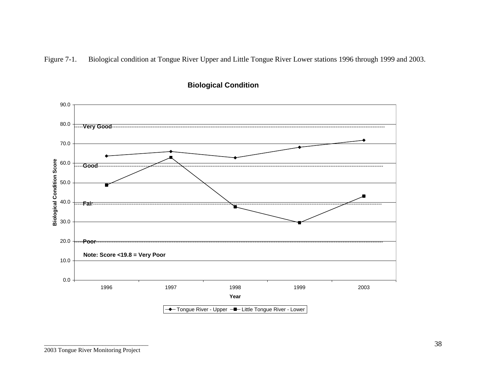Figure 7-1. Biological condition at Tongue River Upper and Little Tongue River Lower stations 1996 through 1999 and 2003.



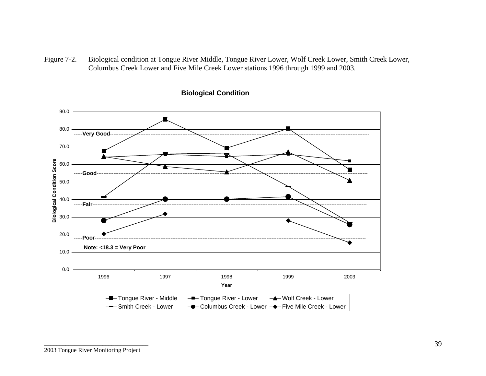Figure 7-2. Biological condition at Tongue River Middle, Tongue River Lower, Wolf Creek Lower, Smith Creek Lower, Columbus Creek Lower and Five Mile Creek Lower stations 1996 through 1999 and 2003.



#### **Biological Condition**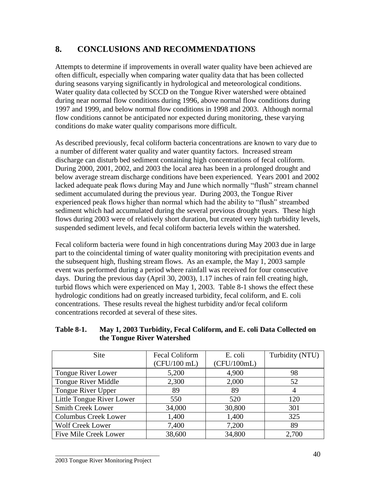# **8. CONCLUSIONS AND RECOMMENDATIONS**

Attempts to determine if improvements in overall water quality have been achieved are often difficult, especially when comparing water quality data that has been collected during seasons varying significantly in hydrological and meteorological conditions. Water quality data collected by SCCD on the Tongue River watershed were obtained during near normal flow conditions during 1996, above normal flow conditions during 1997 and 1999, and below normal flow conditions in 1998 and 2003. Although normal flow conditions cannot be anticipated nor expected during monitoring, these varying conditions do make water quality comparisons more difficult.

As described previously, fecal coliform bacteria concentrations are known to vary due to a number of different water quality and water quantity factors. Increased stream discharge can disturb bed sediment containing high concentrations of fecal coliform. During 2000, 2001, 2002, and 2003 the local area has been in a prolonged drought and below average stream discharge conditions have been experienced. Years 2001 and 2002 lacked adequate peak flows during May and June which normally "flush" stream channel sediment accumulated during the previous year. During 2003, the Tongue River experienced peak flows higher than normal which had the ability to "flush" streambed sediment which had accumulated during the several previous drought years. These high flows during 2003 were of relatively short duration, but created very high turbidity levels, suspended sediment levels, and fecal coliform bacteria levels within the watershed.

Fecal coliform bacteria were found in high concentrations during May 2003 due in large part to the coincidental timing of water quality monitoring with precipitation events and the subsequent high, flushing stream flows. As an example, the May 1, 2003 sample event was performed during a period where rainfall was received for four consecutive days. During the previous day (April 30, 2003), 1.17 inches of rain fell creating high, turbid flows which were experienced on May 1, 2003. Table 8-1 shows the effect these hydrologic conditions had on greatly increased turbidity, fecal coliform, and E. coli concentrations. These results reveal the highest turbidity and/or fecal coliform concentrations recorded at several of these sites.

| <b>Site</b>                  | Fecal Coliform | E. coli     | Turbidity (NTU) |
|------------------------------|----------------|-------------|-----------------|
|                              | $(CFU/100$ mL) | (CFU/100mL) |                 |
| Tongue River Lower           | 5,200          | 4,900       | 98              |
| Tongue River Middle          | 2,300          | 2,000       | 52              |
| Tongue River Upper           | 89             | 89          | 4               |
| Little Tongue River Lower    | 550            | 520         | 120             |
| <b>Smith Creek Lower</b>     | 34,000         | 30,800      | 301             |
| <b>Columbus Creek Lower</b>  | 1,400          | 1,400       | 325             |
| <b>Wolf Creek Lower</b>      | 7,400          | 7,200       | 89              |
| <b>Five Mile Creek Lower</b> | 38,600         | 34,800      | 2,700           |

#### **Table 8-1. May 1, 2003 Turbidity, Fecal Coliform, and E. coli Data Collected on the Tongue River Watershed**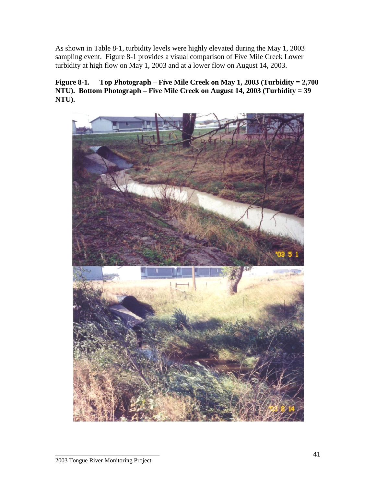As shown in Table 8-1, turbidity levels were highly elevated during the May 1, 2003 sampling event. Figure 8-1 provides a visual comparison of Five Mile Creek Lower turbidity at high flow on May 1, 2003 and at a lower flow on August 14, 2003.

**Figure 8-1. Top Photograph – Five Mile Creek on May 1, 2003 (Turbidity = 2,700 NTU). Bottom Photograph – Five Mile Creek on August 14, 2003 (Turbidity = 39 NTU).**

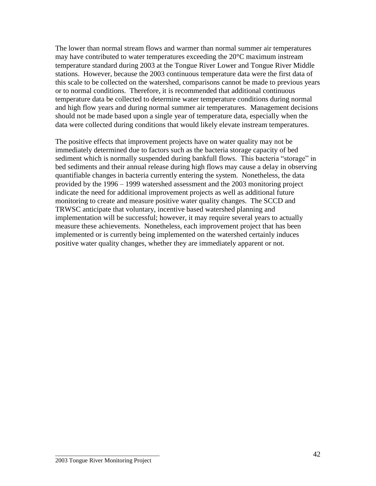The lower than normal stream flows and warmer than normal summer air temperatures may have contributed to water temperatures exceeding the 20°C maximum instream temperature standard during 2003 at the Tongue River Lower and Tongue River Middle stations. However, because the 2003 continuous temperature data were the first data of this scale to be collected on the watershed, comparisons cannot be made to previous years or to normal conditions. Therefore, it is recommended that additional continuous temperature data be collected to determine water temperature conditions during normal and high flow years and during normal summer air temperatures. Management decisions should not be made based upon a single year of temperature data, especially when the data were collected during conditions that would likely elevate instream temperatures.

The positive effects that improvement projects have on water quality may not be immediately determined due to factors such as the bacteria storage capacity of bed sediment which is normally suspended during bankfull flows. This bacteria "storage" in bed sediments and their annual release during high flows may cause a delay in observing quantifiable changes in bacteria currently entering the system. Nonetheless, the data provided by the 1996 – 1999 watershed assessment and the 2003 monitoring project indicate the need for additional improvement projects as well as additional future monitoring to create and measure positive water quality changes. The SCCD and TRWSC anticipate that voluntary, incentive based watershed planning and implementation will be successful; however, it may require several years to actually measure these achievements. Nonetheless, each improvement project that has been implemented or is currently being implemented on the watershed certainly induces positive water quality changes, whether they are immediately apparent or not.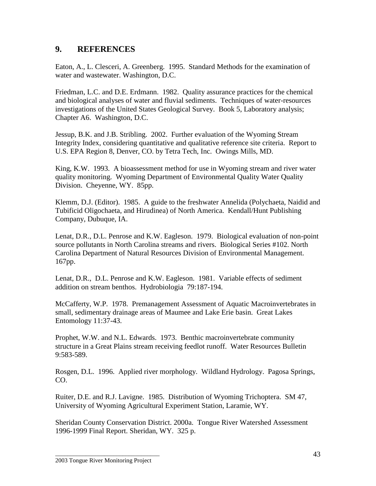### **9. REFERENCES**

Eaton, A., L. Clesceri, A. Greenberg. 1995. Standard Methods for the examination of water and wastewater. Washington, D.C.

Friedman, L.C. and D.E. Erdmann. 1982. Quality assurance practices for the chemical and biological analyses of water and fluvial sediments. Techniques of water-resources investigations of the United States Geological Survey. Book 5, Laboratory analysis; Chapter A6. Washington, D.C.

Jessup, B.K. and J.B. Stribling. 2002. Further evaluation of the Wyoming Stream Integrity Index, considering quantitative and qualitative reference site criteria. Report to U.S. EPA Region 8, Denver, CO. by Tetra Tech, Inc. Owings Mills, MD.

King, K.W. 1993. A bioassessment method for use in Wyoming stream and river water quality monitoring. Wyoming Department of Environmental Quality Water Quality Division. Cheyenne, WY. 85pp.

Klemm, D.J. (Editor). 1985. A guide to the freshwater Annelida (Polychaeta, Naidid and Tubificid Oligochaeta, and Hirudinea) of North America. Kendall/Hunt Publishing Company, Dubuque, IA.

Lenat, D.R., D.L. Penrose and K.W. Eagleson. 1979. Biological evaluation of non-point source pollutants in North Carolina streams and rivers. Biological Series #102. North Carolina Department of Natural Resources Division of Environmental Management. 167pp.

Lenat, D.R., D.L. Penrose and K.W. Eagleson. 1981. Variable effects of sediment addition on stream benthos. Hydrobiologia 79:187-194.

McCafferty, W.P. 1978. Premanagement Assessment of Aquatic Macroinvertebrates in small, sedimentary drainage areas of Maumee and Lake Erie basin. Great Lakes Entomology 11:37-43.

Prophet, W.W. and N.L. Edwards. 1973. Benthic macroinvertebrate community structure in a Great Plains stream receiving feedlot runoff. Water Resources Bulletin 9:583-589.

Rosgen, D.L. 1996. Applied river morphology. Wildland Hydrology. Pagosa Springs, CO.

Ruiter, D.E. and R.J. Lavigne. 1985. Distribution of Wyoming Trichoptera. SM 47, University of Wyoming Agricultural Experiment Station, Laramie, WY.

Sheridan County Conservation District. 2000a. Tongue River Watershed Assessment 1996-1999 Final Report. Sheridan, WY. 325 p.